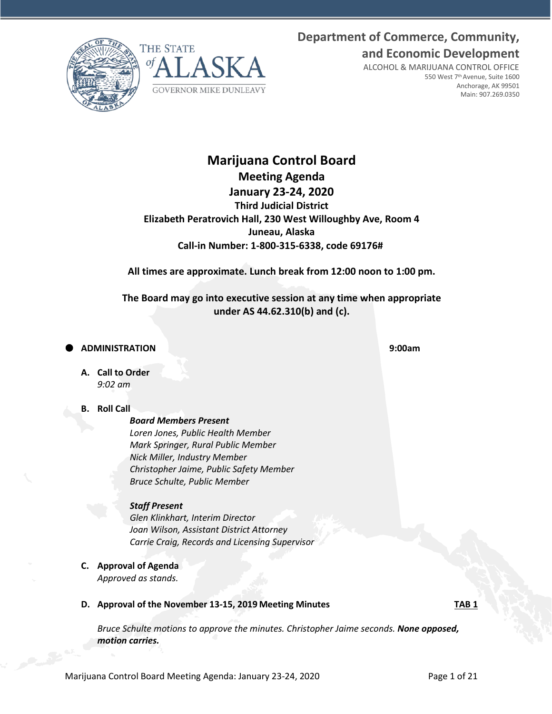**Department of Commerce, Community, and Economic Development**





ALCOHOL & MARIJUANA CONTROL OFFICE 550 West 7th Avenue, Suite 1600 Anchorage, AK 99501 Main: 907.269.0350

# **Marijuana Control Board Meeting Agenda January 23-24, 2020 Third Judicial District Elizabeth Peratrovich Hall, 230 West Willoughby Ave, Room 4 Juneau, Alaska Call-in Number: 1-800-315-6338, code 69176#**

**All times are approximate. Lunch break from 12:00 noon to 1:00 pm.**

**The Board may go into executive session at any time when appropriate under AS 44.62.310(b) and (c).**

## **ADMINISTRATION 9:00am**

**A. Call to Order** *9:02 am*

## **B. Roll Call**

*Board Members Present Loren Jones, Public Health Member Mark Springer, Rural Public Member Nick Miller, Industry Member Christopher Jaime, Public Safety Member Bruce Schulte, Public Member*

## *Staff Present*

*Glen Klinkhart, Interim Director Joan Wilson, Assistant District Attorney Carrie Craig, Records and Licensing Supervisor*

**C. Approval of Agenda** *Approved as stands.*

## **D.** Approval of the November 13-15, 2019 Meeting Minutes **TAB 1**

*Bruce Schulte motions to approve the minutes. Christopher Jaime seconds. None opposed, motion carries.*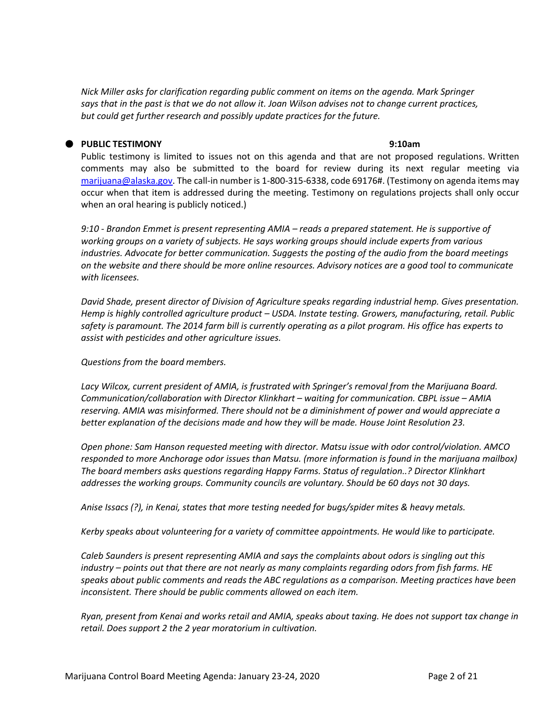*Nick Miller asks for clarification regarding public comment on items on the agenda. Mark Springer says that in the past is that we do not allow it. Joan Wilson advises not to change current practices, but could get further research and possibly update practices for the future.*

## **PUBLIC TESTIMONY 9:10am**

Public testimony is limited to issues not on this agenda and that are not proposed regulations. Written comments may also be submitted to the board for review during its next regular meeting via [marijuana@alaska.gov.](mailto:marijuana@alaska.gov) The call-in number is 1-800-315-6338, code 69176#. (Testimony on agenda items may occur when that item is addressed during the meeting. Testimony on regulations projects shall only occur when an oral hearing is publicly noticed.)

*9:10 - Brandon Emmet is present representing AMIA – reads a prepared statement. He is supportive of working groups on a variety of subjects. He says working groups should include experts from various industries. Advocate for better communication. Suggests the posting of the audio from the board meetings on the website and there should be more online resources. Advisory notices are a good tool to communicate with licensees.*

*David Shade, present director of Division of Agriculture speaks regarding industrial hemp. Gives presentation. Hemp is highly controlled agriculture product – USDA. Instate testing. Growers, manufacturing, retail. Public safety is paramount. The 2014 farm bill is currently operating as a pilot program. His office has experts to assist with pesticides and other agriculture issues.* 

*Questions from the board members.*

*Lacy Wilcox, current president of AMIA, is frustrated with Springer's removal from the Marijuana Board. Communication/collaboration with Director Klinkhart – waiting for communication. CBPL issue – AMIA reserving. AMIA was misinformed. There should not be a diminishment of power and would appreciate a better explanation of the decisions made and how they will be made. House Joint Resolution 23.* 

*Open phone: Sam Hanson requested meeting with director. Matsu issue with odor control/violation. AMCO responded to more Anchorage odor issues than Matsu. (more information is found in the marijuana mailbox) The board members asks questions regarding Happy Farms. Status of regulation..? Director Klinkhart addresses the working groups. Community councils are voluntary. Should be 60 days not 30 days.*

*Anise Issacs (?), in Kenai, states that more testing needed for bugs/spider mites & heavy metals.*

*Kerby speaks about volunteering for a variety of committee appointments. He would like to participate.* 

*Caleb Saunders is present representing AMIA and says the complaints about odors is singling out this industry – points out that there are not nearly as many complaints regarding odors from fish farms. HE speaks about public comments and reads the ABC regulations as a comparison. Meeting practices have been inconsistent. There should be public comments allowed on each item.* 

*Ryan, present from Kenai and works retail and AMIA, speaks about taxing. He does not support tax change in retail. Does support 2 the 2 year moratorium in cultivation.*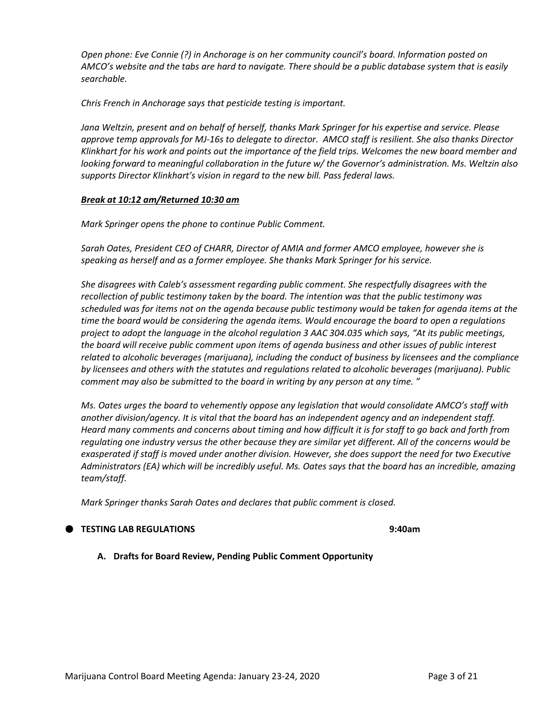*Open phone: Eve Connie (?) in Anchorage is on her community council's board. Information posted on AMCO's website and the tabs are hard to navigate. There should be a public database system that is easily searchable.* 

*Chris French in Anchorage says that pesticide testing is important.* 

*Jana Weltzin, present and on behalf of herself, thanks Mark Springer for his expertise and service. Please approve temp approvals for MJ-16s to delegate to director. AMCO staff is resilient. She also thanks Director Klinkhart for his work and points out the importance of the field trips. Welcomes the new board member and looking forward to meaningful collaboration in the future w/ the Governor's administration. Ms. Weltzin also supports Director Klinkhart's vision in regard to the new bill. Pass federal laws.* 

#### *Break at 10:12 am/Returned 10:30 am*

*Mark Springer opens the phone to continue Public Comment.* 

*Sarah Oates, President CEO of CHARR, Director of AMIA and former AMCO employee, however she is speaking as herself and as a former employee. She thanks Mark Springer for his service.* 

*She disagrees with Caleb's assessment regarding public comment. She respectfully disagrees with the recollection of public testimony taken by the board. The intention was that the public testimony was scheduled was for items not on the agenda because public testimony would be taken for agenda items at the time the board would be considering the agenda items. Would encourage the board to open a regulations project to adopt the language in the alcohol regulation 3 AAC 304.035 which says, "At its public meetings, the board will receive public comment upon items of agenda business and other issues of public interest related to alcoholic beverages (marijuana), including the conduct of business by licensees and the compliance by licensees and others with the statutes and regulations related to alcoholic beverages (marijuana). Public comment may also be submitted to the board in writing by any person at any time. "*

*Ms. Oates urges the board to vehemently oppose any legislation that would consolidate AMCO's staff with another division/agency. It is vital that the board has an independent agency and an independent staff. Heard many comments and concerns about timing and how difficult it is for staff to go back and forth from regulating one industry versus the other because they are similar yet different. All of the concerns would be exasperated if staff is moved under another division. However, she does support the need for two Executive Administrators (EA) which will be incredibly useful. Ms. Oates says that the board has an incredible, amazing team/staff.*

*Mark Springer thanks Sarah Oates and declares that public comment is closed.*

## **TESTING LAB REGULATIONS 9:40am**

**A. Drafts for Board Review, Pending Public Comment Opportunity**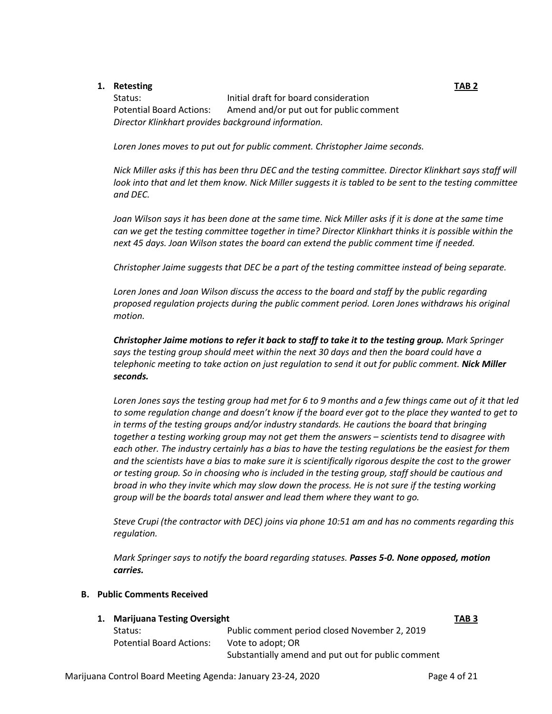## **1. Retesting TAB 2**

Status: **Initial draft for board consideration** Potential Board Actions: Amend and/or put out for public comment *Director Klinkhart provides background information.*

*Loren Jones moves to put out for public comment. Christopher Jaime seconds.* 

*Nick Miller asks if this has been thru DEC and the testing committee. Director Klinkhart says staff will look into that and let them know. Nick Miller suggests it is tabled to be sent to the testing committee and DEC.* 

*Joan Wilson says it has been done at the same time. Nick Miller asks if it is done at the same time can we get the testing committee together in time? Director Klinkhart thinks it is possible within the next 45 days. Joan Wilson states the board can extend the public comment time if needed.* 

*Christopher Jaime suggests that DEC be a part of the testing committee instead of being separate.* 

*Loren Jones and Joan Wilson discuss the access to the board and staff by the public regarding proposed regulation projects during the public comment period. Loren Jones withdraws his original motion.*

*Christopher Jaime motions to refer it back to staff to take it to the testing group. Mark Springer says the testing group should meet within the next 30 days and then the board could have a telephonic meeting to take action on just regulation to send it out for public comment. Nick Miller seconds.*

*Loren Jones says the testing group had met for 6 to 9 months and a few things came out of it that led to some regulation change and doesn't know if the board ever got to the place they wanted to get to in terms of the testing groups and/or industry standards. He cautions the board that bringing together a testing working group may not get them the answers – scientists tend to disagree with each other. The industry certainly has a bias to have the testing regulations be the easiest for them and the scientists have a bias to make sure it is scientifically rigorous despite the cost to the grower or testing group. So in choosing who is included in the testing group, staff should be cautious and broad in who they invite which may slow down the process. He is not sure if the testing working group will be the boards total answer and lead them where they want to go.*

*Steve Crupi (the contractor with DEC) joins via phone 10:51 am and has no comments regarding this regulation.*

*Mark Springer says to notify the board regarding statuses. Passes 5-0. None opposed, motion carries.*

## **B. Public Comments Received**

## **1. Marijuana Testing Oversight TAB 3** Status: Public comment period closed November 2, 2019 Potential Board Actions: Vote to adopt; OR Substantially amend and put out for public comment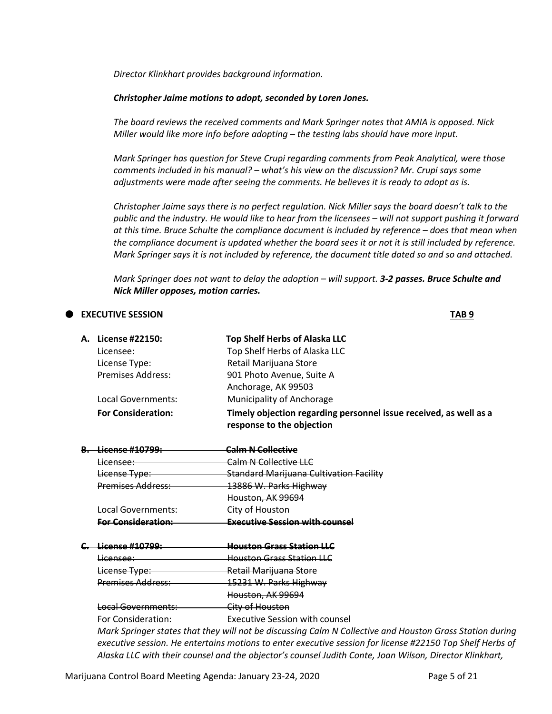*Director Klinkhart provides background information.* 

#### *Christopher Jaime motions to adopt, seconded by Loren Jones.*

*The board reviews the received comments and Mark Springer notes that AMIA is opposed. Nick Miller would like more info before adopting – the testing labs should have more input.*

*Mark Springer has question for Steve Crupi regarding comments from Peak Analytical, were those comments included in his manual? – what's his view on the discussion? Mr. Crupi says some adjustments were made after seeing the comments. He believes it is ready to adopt as is.*

*Christopher Jaime says there is no perfect regulation. Nick Miller says the board doesn't talk to the public and the industry. He would like to hear from the licensees – will not support pushing it forward at this time. Bruce Schulte the compliance document is included by reference – does that mean when the compliance document is updated whether the board sees it or not it is still included by reference. Mark Springer says it is not included by reference, the document title dated so and so and attached.*

*Mark Springer does not want to delay the adoption – will support. 3-2 passes. Bruce Schulte and Nick Miller opposes, motion carries.*

### **EXECUTIVE SESSION TAB 9**

**A. License #22150: Top Shelf Herbs of Alaska LLC** Licensee: Top Shelf Herbs of Alaska LLC

Premises Address: 901 Photo Avenue, Suite A Anchorage, AK 99503 Local Governments: Municipality of Anchorage **For Consideration: Timely objection regarding personnel issue received, as well as a response to the objection**

| License #10799:           | <b>Calm N Collective</b>                       |
|---------------------------|------------------------------------------------|
| <del>Licensee:</del>      | Calm N Collective LLC                          |
| License Type:             | <b>Standard Marijuana Cultivation Facility</b> |
| <b>Premises Address:</b>  | 13886 W. Parks Highway                         |
|                           | Houston, AK 99694                              |
| Local Governments:        | City of Houston                                |
| <b>Ear Concideration:</b> | Executive Seccion with councel                 |

License Type: Retail Marijuana Store

| icansa #10700.            | <u> Haustan Grass Station II C</u> |
|---------------------------|------------------------------------|
| <del>Licensee:</del>      | <b>Houston Grass Station LLC</b>   |
| <del>License Type:</del>  | Retail Marijuana Store             |
| Premises Address:         | 15231 W. Parks Highway             |
|                           | Houston, AK 99694                  |
| Local Governments:        | City of Houston                    |
| <u>For Consideration:</u> | Executive Session with counsel     |

*Mark Springer states that they will not be discussing Calm N Collective and Houston Grass Station during executive session. He entertains motions to enter executive session for license #22150 Top Shelf Herbs of Alaska LLC with their counsel and the objector's counsel Judith Conte, Joan Wilson, Director Klinkhart,*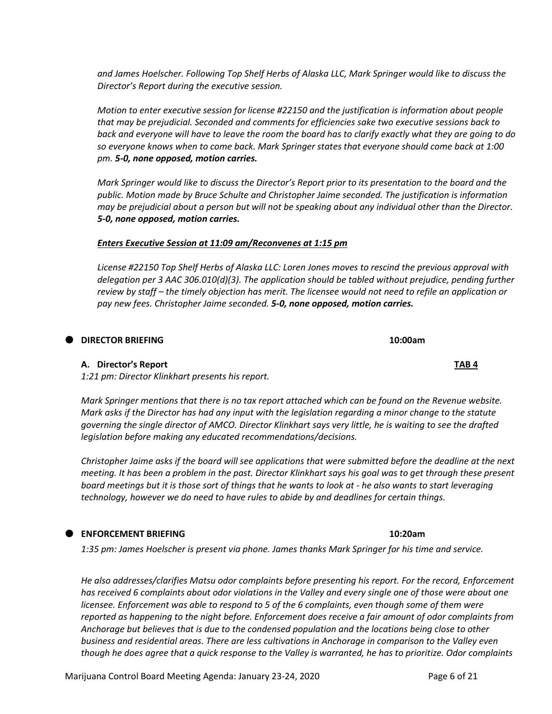*and James Hoelscher. Following Top Shelf Herbs of Alaska LLC, Mark Springer would like to discuss the Director's Report during the executive session.*

*Motion to enter executive session for license #22150 and the justification is information about people that may be prejudicial. Seconded and comments for efficiencies sake two executive sessions back to back and everyone will have to leave the room the board has to clarify exactly what they are going to do so everyone knows when to come back. Mark Springer states that everyone should come back at 1:00 pm. 5-0, none opposed, motion carries.*

*Mark Springer would like to discuss the Director's Report prior to its presentation to the board and the public. Motion made by Bruce Schulte and Christopher Jaime seconded. The justification is information may be prejudicial about a person but will not be speaking about any individual other than the Director. 5-0, none opposed, motion carries.*

## *Enters Executive Session at 11:09 am/Reconvenes at 1:15 pm*

*License #22150 Top Shelf Herbs of Alaska LLC: Loren Jones moves to rescind the previous approval with delegation per 3 AAC 306.010(d)(3). The application should be tabled without prejudice, pending further review by staff – the timely objection has merit. The licensee would not need to refile an application or pay new fees. Christopher Jaime seconded. 5-0, none opposed, motion carries.*

## **DIRECTOR BRIEFING 10:00am**

## **A. Director's Report TAB 4**

*1:21 pm: Director Klinkhart presents his report.* 

*Mark Springer mentions that there is no tax report attached which can be found on the Revenue website. Mark asks if the Director has had any input with the legislation regarding a minor change to the statute governing the single director of AMCO. Director Klinkhart says very little, he is waiting to see the drafted legislation before making any educated recommendations/decisions.* 

*Christopher Jaime asks if the board will see applications that were submitted before the deadline at the next meeting. It has been a problem in the past. Director Klinkhart says his goal was to get through these present board meetings but it is those sort of things that he wants to look at - he also wants to start leveraging technology, however we do need to have rules to abide by and deadlines for certain things.*

## **ENFORCEMENT BRIEFING 10:20am**

*1:35 pm: James Hoelscher is present via phone. James thanks Mark Springer for his time and service.* 

*He also addresses/clarifies Matsu odor complaints before presenting his report. For the record, Enforcement has received 6 complaints about odor violations in the Valley and every single one of those were about one licensee. Enforcement was able to respond to 5 of the 6 complaints, even though some of them were reported as happening to the night before. Enforcement does receive a fair amount of odor complaints from Anchorage but believes that is due to the condensed population and the locations being close to other business and residential areas. There are less cultivations in Anchorage in comparison to the Valley even though he does agree that a quick response to the Valley is warranted, he has to prioritize. Odor complaints*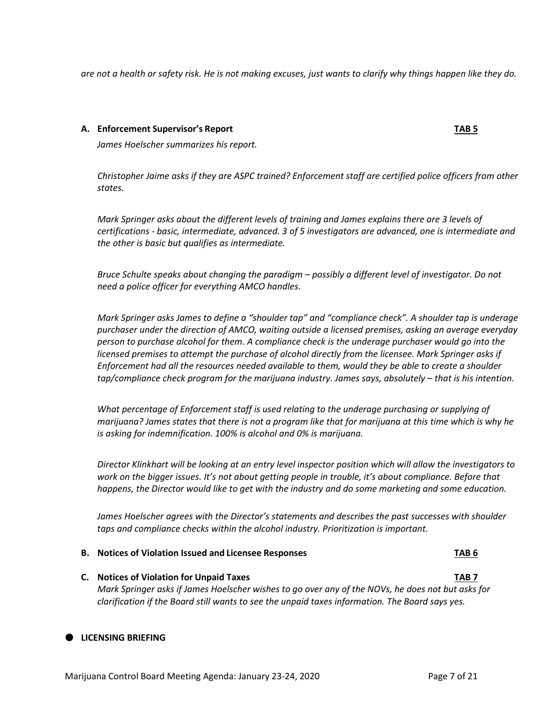*are not a health or safety risk. He is not making excuses, just wants to clarify why things happen like they do.* 

### **A. Enforcement Supervisor's Report TAB 5**

*James Hoelscher summarizes his report.*

*Christopher Jaime asks if they are ASPC trained? Enforcement staff are certified police officers from other states.*

*Mark Springer asks about the different levels of training and James explains there are 3 levels of certifications - basic, intermediate, advanced. 3 of 5 investigators are advanced, one is intermediate and the other is basic but qualifies as intermediate.*

*Bruce Schulte speaks about changing the paradigm – possibly a different level of investigator. Do not need a police officer for everything AMCO handles.* 

*Mark Springer asks James to define a "shoulder tap" and "compliance check". A shoulder tap is underage purchaser under the direction of AMCO, waiting outside a licensed premises, asking an average everyday person to purchase alcohol for them. A compliance check is the underage purchaser would go into the licensed premises to attempt the purchase of alcohol directly from the licensee. Mark Springer asks if Enforcement had all the resources needed available to them, would they be able to create a shoulder tap/compliance check program for the marijuana industry. James says, absolutely – that is his intention.*

*What percentage of Enforcement staff is used relating to the underage purchasing or supplying of marijuana? James states that there is not a program like that for marijuana at this time which is why he is asking for indemnification. 100% is alcohol and 0% is marijuana.* 

*Director Klinkhart will be looking at an entry level inspector position which will allow the investigators to work on the bigger issues. It's not about getting people in trouble, it's about compliance. Before that happens, the Director would like to get with the industry and do some marketing and some education.*

*James Hoelscher agrees with the Director's statements and describes the past successes with shoulder taps and compliance checks within the alcohol industry. Prioritization is important.*

#### **B. Notices of Violation Issued and Licensee Responses TAB 6**

**C. Notices of Violation for Unpaid Taxes TAB 7** *Mark Springer asks if James Hoelscher wishes to go over any of the NOVs, he does not but asks for clarification if the Board still wants to see the unpaid taxes information. The Board says yes.*

## **LICENSING BRIEFING**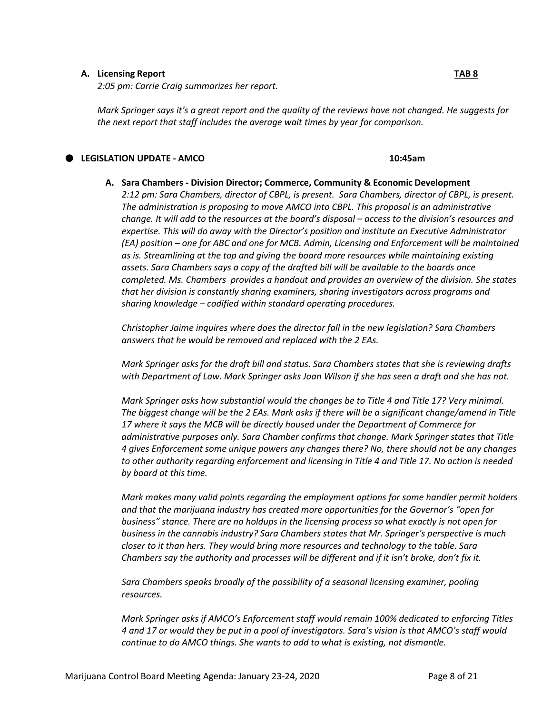#### **A. Licensing Report TAB 8**

*2:05 pm: Carrie Craig summarizes her report.*

*Mark Springer says it's a great report and the quality of the reviews have not changed. He suggests for the next report that staff includes the average wait times by year for comparison.* 

### **LEGISLATION UPDATE - AMCO 10:45am**

**A. Sara Chambers - Division Director; Commerce, Community & Economic Development** *2:12 pm: Sara Chambers, director of CBPL, is present. Sara Chambers, director of CBPL, is present. The administration is proposing to move AMCO into CBPL. This proposal is an administrative change. It will add to the resources at the board's disposal – access to the division's resources and expertise. This will do away with the Director's position and institute an Executive Administrator (EA) position – one for ABC and one for MCB. Admin, Licensing and Enforcement will be maintained as is. Streamlining at the top and giving the board more resources while maintaining existing assets. Sara Chambers says a copy of the drafted bill will be available to the boards once completed. Ms. Chambers provides a handout and provides an overview of the division. She states that her division is constantly sharing examiners, sharing investigators across programs and sharing knowledge – codified within standard operating procedures.*

*Christopher Jaime inquires where does the director fall in the new legislation? Sara Chambers answers that he would be removed and replaced with the 2 EAs.* 

*Mark Springer asks for the draft bill and status. Sara Chambers states that she is reviewing drafts with Department of Law. Mark Springer asks Joan Wilson if she has seen a draft and she has not.*

*Mark Springer asks how substantial would the changes be to Title 4 and Title 17? Very minimal. The biggest change will be the 2 EAs. Mark asks if there will be a significant change/amend in Title 17 where it says the MCB will be directly housed under the Department of Commerce for administrative purposes only. Sara Chamber confirms that change. Mark Springer states that Title 4 gives Enforcement some unique powers any changes there? No, there should not be any changes to other authority regarding enforcement and licensing in Title 4 and Title 17. No action is needed by board at this time.* 

*Mark makes many valid points regarding the employment options for some handler permit holders and that the marijuana industry has created more opportunities for the Governor's "open for business" stance. There are no holdups in the licensing process so what exactly is not open for business in the cannabis industry? Sara Chambers states that Mr. Springer's perspective is much closer to it than hers. They would bring more resources and technology to the table. Sara Chambers say the authority and processes will be different and if it isn't broke, don't fix it.* 

*Sara Chambers speaks broadly of the possibility of a seasonal licensing examiner, pooling resources.*

*Mark Springer asks if AMCO's Enforcement staff would remain 100% dedicated to enforcing Titles 4 and 17 or would they be put in a pool of investigators. Sara's vision is that AMCO's staff would continue to do AMCO things. She wants to add to what is existing, not dismantle.*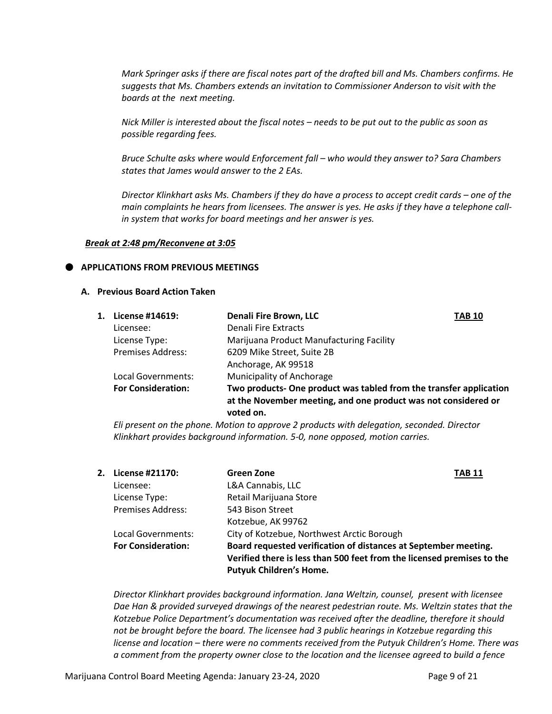*Mark Springer asks if there are fiscal notes part of the drafted bill and Ms. Chambers confirms. He suggests that Ms. Chambers extends an invitation to Commissioner Anderson to visit with the boards at the next meeting.* 

*Nick Miller is interested about the fiscal notes – needs to be put out to the public as soon as possible regarding fees.* 

*Bruce Schulte asks where would Enforcement fall – who would they answer to? Sara Chambers states that James would answer to the 2 EAs.*

*Director Klinkhart asks Ms. Chambers if they do have a process to accept credit cards – one of the main complaints he hears from licensees. The answer is yes. He asks if they have a telephone callin system that works for board meetings and her answer is yes.*

#### *Break at 2:48 pm/Reconvene at 3:05*

#### **APPLICATIONS FROM PREVIOUS MEETINGS**

#### **A. Previous Board Action Taken**

| 1. | License #14619:           | <b>Denali Fire Brown, LLC</b>                                                                                                                     | TAB 10 |
|----|---------------------------|---------------------------------------------------------------------------------------------------------------------------------------------------|--------|
|    | Licensee:                 | Denali Fire Extracts                                                                                                                              |        |
|    | License Type:             | Marijuana Product Manufacturing Facility                                                                                                          |        |
|    | <b>Premises Address:</b>  | 6209 Mike Street, Suite 2B                                                                                                                        |        |
|    |                           | Anchorage, AK 99518                                                                                                                               |        |
|    | Local Governments:        | <b>Municipality of Anchorage</b>                                                                                                                  |        |
|    | <b>For Consideration:</b> | Two products- One product was tabled from the transfer application<br>at the November meeting, and one product was not considered or<br>voted on. |        |

*Eli present on the phone. Motion to approve 2 products with delegation, seconded. Director Klinkhart provides background information. 5-0, none opposed, motion carries.*

| 2. | License #21170:           | Green Zone<br><b>TAB 11</b>                                                                                                                                                 |  |
|----|---------------------------|-----------------------------------------------------------------------------------------------------------------------------------------------------------------------------|--|
|    | Licensee:                 | L&A Cannabis, LLC                                                                                                                                                           |  |
|    | License Type:             | Retail Marijuana Store                                                                                                                                                      |  |
|    | Premises Address:         | 543 Bison Street                                                                                                                                                            |  |
|    |                           | Kotzebue, AK 99762                                                                                                                                                          |  |
|    | Local Governments:        | City of Kotzebue, Northwest Arctic Borough                                                                                                                                  |  |
|    | <b>For Consideration:</b> | Board requested verification of distances at September meeting.<br>Verified there is less than 500 feet from the licensed premises to the<br><b>Putyuk Children's Home.</b> |  |

*Director Klinkhart provides background information. Jana Weltzin, counsel, present with licensee Dae Han & provided surveyed drawings of the nearest pedestrian route. Ms. Weltzin states that the Kotzebue Police Department's documentation was received after the deadline, therefore it should not be brought before the board. The licensee had 3 public hearings in Kotzebue regarding this license and location – there were no comments received from the Putyuk Children's Home. There was a comment from the property owner close to the location and the licensee agreed to build a fence*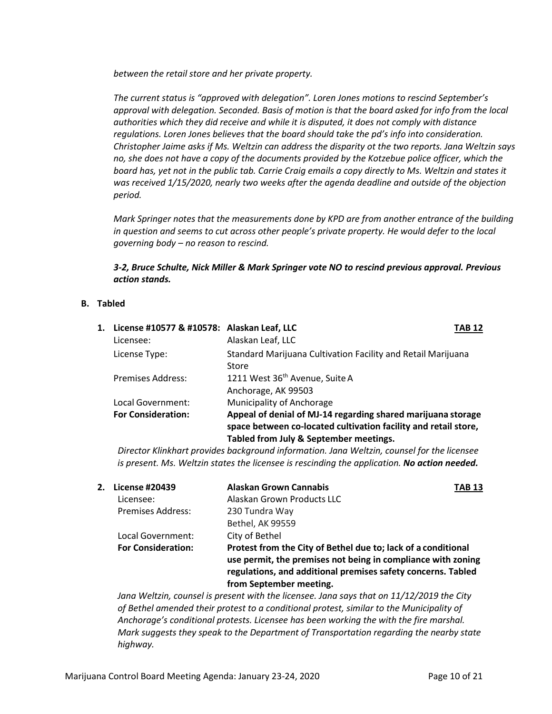*between the retail store and her private property.*

*The current status is "approved with delegation". Loren Jones motions to rescind September's approval with delegation. Seconded. Basis of motion is that the board asked for info from the local authorities which they did receive and while it is disputed, it does not comply with distance regulations. Loren Jones believes that the board should take the pd's info into consideration. Christopher Jaime asks if Ms. Weltzin can address the disparity ot the two reports. Jana Weltzin says no, she does not have a copy of the documents provided by the Kotzebue police officer, which the board has, yet not in the public tab. Carrie Craig emails a copy directly to Ms. Weltzin and states it was received 1/15/2020, nearly two weeks after the agenda deadline and outside of the objection period.* 

*Mark Springer notes that the measurements done by KPD are from another entrance of the building in question and seems to cut across other people's private property. He would defer to the local governing body – no reason to rescind.* 

*3-2, Bruce Schulte, Nick Miller & Mark Springer vote NO to rescind previous approval. Previous action stands.* 

### **B. Tabled**

| 1. License #10577 & #10578: Alaskan Leaf, LLC |                                                                                                                                                                           | TAB 12 |
|-----------------------------------------------|---------------------------------------------------------------------------------------------------------------------------------------------------------------------------|--------|
| Licensee:                                     | Alaskan Leaf, LLC                                                                                                                                                         |        |
| License Type:                                 | Standard Marijuana Cultivation Facility and Retail Marijuana<br>Store                                                                                                     |        |
| Premises Address:                             | 1211 West 36th Avenue, Suite A<br>Anchorage, AK 99503                                                                                                                     |        |
| Local Government:                             | Municipality of Anchorage                                                                                                                                                 |        |
| <b>For Consideration:</b>                     | Appeal of denial of MJ-14 regarding shared marijuana storage<br>space between co-located cultivation facility and retail store,<br>Tabled from July & September meetings. |        |

*Director Klinkhart provides background information. Jana Weltzin, counsel for the licensee is present. Ms. Weltzin states the licensee is rescinding the application. No action needed.*

|                           | <b>Alaskan Grown Cannabis</b>                                                                                                                                                                 | <b>TAB 13</b>           |
|---------------------------|-----------------------------------------------------------------------------------------------------------------------------------------------------------------------------------------------|-------------------------|
| Licensee:                 | Alaskan Grown Products LLC                                                                                                                                                                    |                         |
| <b>Premises Address:</b>  | 230 Tundra Way                                                                                                                                                                                |                         |
|                           | <b>Bethel, AK 99559</b>                                                                                                                                                                       |                         |
| Local Government:         | City of Bethel                                                                                                                                                                                |                         |
| <b>For Consideration:</b> | Protest from the City of Bethel due to; lack of a conditional<br>use permit, the premises not being in compliance with zoning<br>regulations, and additional premises safety concerns. Tabled |                         |
|                           | 2. License #20439                                                                                                                                                                             | from September meeting. |

*Jana Weltzin, counsel is present with the licensee. Jana says that on 11/12/2019 the City of Bethel amended their protest to a conditional protest, similar to the Municipality of Anchorage's conditional protests. Licensee has been working the with the fire marshal. Mark suggests they speak to the Department of Transportation regarding the nearby state highway.*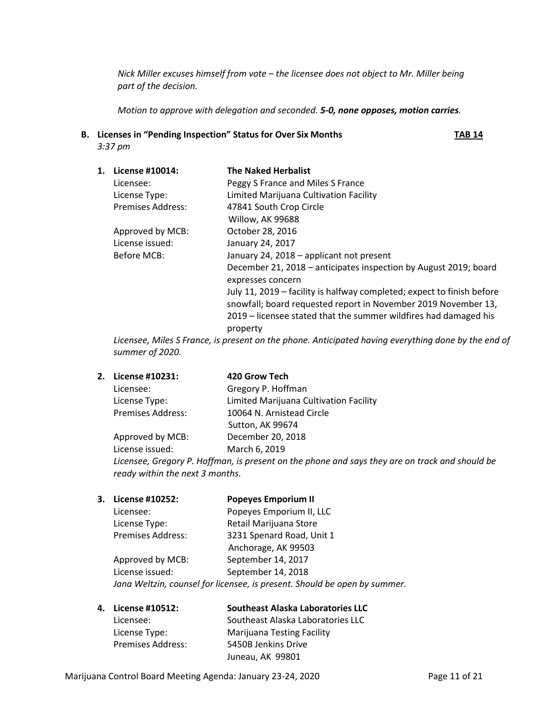*Nick Miller excuses himself from vote – the licensee does not object to Mr. Miller being part of the decision.* 

*Motion to approve with delegation and seconded. 5-0, none opposes, motion carries.* 

**B. Licenses in "Pending Inspection" Status for Over Six Months TAB 14** *3:37 pm*

| 1. | License #10014:          | <b>The Naked Herbalist</b>                                                                                                                                                                                               |
|----|--------------------------|--------------------------------------------------------------------------------------------------------------------------------------------------------------------------------------------------------------------------|
|    | Licensee:                | Peggy S France and Miles S France                                                                                                                                                                                        |
|    | License Type:            | Limited Marijuana Cultivation Facility                                                                                                                                                                                   |
|    | <b>Premises Address:</b> | 47841 South Crop Circle                                                                                                                                                                                                  |
|    |                          | Willow, AK 99688                                                                                                                                                                                                         |
|    | Approved by MCB:         | October 28, 2016                                                                                                                                                                                                         |
|    | License issued:          | January 24, 2017                                                                                                                                                                                                         |
|    | Before MCB:              | January 24, 2018 - applicant not present                                                                                                                                                                                 |
|    |                          | December 21, 2018 – anticipates inspection by August 2019; board<br>expresses concern                                                                                                                                    |
|    |                          | July 11, 2019 - facility is halfway completed; expect to finish before<br>snowfall; board requested report in November 2019 November 13,<br>2019 – licensee stated that the summer wildfires had damaged his<br>property |
|    |                          |                                                                                                                                                                                                                          |

*Licensee, Miles S France, is present on the phone. Anticipated having everything done by the end of summer of 2020.*

**2. License #10231: 420 Grow Tech**

| Gregory P. Hoffman                     |
|----------------------------------------|
| Limited Marijuana Cultivation Facility |
| 10064 N. Arnistead Circle              |
| Sutton, AK 99674                       |
| December 20, 2018                      |
|                                        |

License issued: March 6, 2019 *Licensee, Gregory P. Hoffman, is present on the phone and says they are on track and should be ready within the next 3 months.*

- **3. License #10252: Popeyes Emporium II** Licensee: Popeyes Emporium II, LLC License Type: Retail Marijuana Store Premises Address: 3231 Spenard Road, Unit 1 Anchorage, AK 99503 Approved by MCB: September 14, 2017 License issued: September 14, 2018 *Jana Weltzin, counsel for licensee, is present. Should be open by summer.*
- **4. License #10512: Southeast Alaska Laboratories LLC** Licensee: Southeast Alaska Laboratories LLC License Type: Marijuana Testing Facility Premises Address: 5450B Jenkins Drive Juneau, AK 99801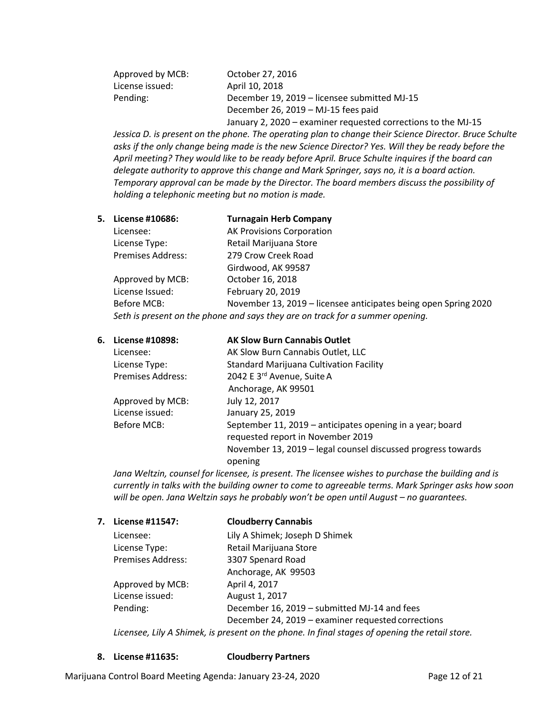| Approved by MCB: | October 27, 2016                                              |
|------------------|---------------------------------------------------------------|
| License issued:  | April 10, 2018                                                |
| Pending:         | December 19, 2019 – licensee submitted MJ-15                  |
|                  | December 26, 2019 - MJ-15 fees paid                           |
|                  | January 2, 2020 – examiner requested corrections to the MJ-15 |

*Jessica D. is present on the phone. The operating plan to change their Science Director. Bruce Schulte asks if the only change being made is the new Science Director? Yes. Will they be ready before the April meeting? They would like to be ready before April. Bruce Schulte inquires if the board can delegate authority to approve this change and Mark Springer, says no, it is a board action. Temporary approval can be made by the Director. The board members discuss the possibility of holding a telephonic meeting but no motion is made.*

## **5. License #10686: Turnagain Herb Company**

| Licensee:                                                                     | <b>AK Provisions Corporation</b>                                |  |
|-------------------------------------------------------------------------------|-----------------------------------------------------------------|--|
| License Type:                                                                 | Retail Marijuana Store                                          |  |
| <b>Premises Address:</b>                                                      | 279 Crow Creek Road                                             |  |
|                                                                               | Girdwood, AK 99587                                              |  |
| Approved by MCB:                                                              | October 16, 2018                                                |  |
| License Issued:                                                               | February 20, 2019                                               |  |
| Before MCB:                                                                   | November 13, 2019 – licensee anticipates being open Spring 2020 |  |
| Seth is present on the phone and says they are on track for a summer opening. |                                                                 |  |

| 6. License #10898:       | <b>AK Slow Burn Cannabis Outlet</b>                          |
|--------------------------|--------------------------------------------------------------|
| Licensee:                | AK Slow Burn Cannabis Outlet, LLC                            |
| License Type:            | <b>Standard Marijuana Cultivation Facility</b>               |
| <b>Premises Address:</b> | 2042 E 3rd Avenue, Suite A                                   |
|                          | Anchorage, AK 99501                                          |
| Approved by MCB:         | July 12, 2017                                                |
| License issued:          | January 25, 2019                                             |
| Before MCB:              | September 11, 2019 - anticipates opening in a year; board    |
|                          | requested report in November 2019                            |
|                          | November 13, 2019 – legal counsel discussed progress towards |
|                          | opening                                                      |

*Jana Weltzin, counsel for licensee, is present. The licensee wishes to purchase the building and is currently in talks with the building owner to come to agreeable terms. Mark Springer asks how soon will be open. Jana Weltzin says he probably won't be open until August – no guarantees.* 

| 7. | License #11547:   | <b>Cloudberry Cannabis</b>                                                                     |
|----|-------------------|------------------------------------------------------------------------------------------------|
|    | Licensee:         | Lily A Shimek; Joseph D Shimek                                                                 |
|    | License Type:     | Retail Marijuana Store                                                                         |
|    | Premises Address: | 3307 Spenard Road                                                                              |
|    |                   | Anchorage, AK 99503                                                                            |
|    | Approved by MCB:  | April 4, 2017                                                                                  |
|    | License issued:   | August 1, 2017                                                                                 |
|    | Pending:          | December 16, 2019 - submitted MJ-14 and fees                                                   |
|    |                   | December 24, 2019 - examiner requested corrections                                             |
|    |                   | Licensee, Lily A Shimek, is present on the phone. In final stages of opening the retail store. |

**8. License #11635: Cloudberry Partners**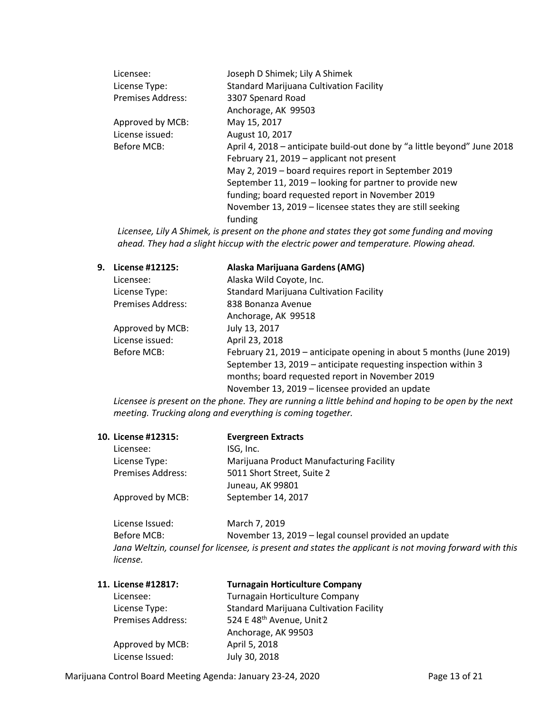| Licensee:         | Joseph D Shimek; Lily A Shimek                                           |
|-------------------|--------------------------------------------------------------------------|
| License Type:     | <b>Standard Marijuana Cultivation Facility</b>                           |
| Premises Address: | 3307 Spenard Road                                                        |
|                   | Anchorage, AK 99503                                                      |
| Approved by MCB:  | May 15, 2017                                                             |
| License issued:   | August 10, 2017                                                          |
| Before MCB:       | April 4, 2018 – anticipate build-out done by "a little beyond" June 2018 |
|                   | February 21, 2019 - applicant not present                                |
|                   | May 2, 2019 – board requires report in September 2019                    |
|                   | September 11, 2019 - looking for partner to provide new                  |
|                   | funding; board requested report in November 2019                         |
|                   | November 13, 2019 – licensee states they are still seeking               |
|                   | funding                                                                  |
|                   |                                                                          |

*Licensee, Lily A Shimek, is present on the phone and states they got some funding and moving ahead. They had a slight hiccup with the electric power and temperature. Plowing ahead.*

| 9. | License #12125:   | Alaska Marijuana Gardens (AMG)                                                                                                                                                                                                               |
|----|-------------------|----------------------------------------------------------------------------------------------------------------------------------------------------------------------------------------------------------------------------------------------|
|    | Licensee:         | Alaska Wild Coyote, Inc.                                                                                                                                                                                                                     |
|    | License Type:     | <b>Standard Marijuana Cultivation Facility</b>                                                                                                                                                                                               |
|    | Premises Address: | 838 Bonanza Avenue                                                                                                                                                                                                                           |
|    |                   | Anchorage, AK 99518                                                                                                                                                                                                                          |
|    | Approved by MCB:  | July 13, 2017                                                                                                                                                                                                                                |
|    | License issued:   | April 23, 2018                                                                                                                                                                                                                               |
|    | Before MCB:       | February 21, 2019 – anticipate opening in about 5 months (June 2019)<br>September 13, 2019 – anticipate requesting inspection within 3<br>months; board requested report in November 2019<br>November 13, 2019 – licensee provided an update |

*Licensee is present on the phone. They are running a little behind and hoping to be open by the next meeting. Trucking along and everything is coming together.* 

| 10. License #12315: | <b>Evergreen Extracts</b>                                                                               |
|---------------------|---------------------------------------------------------------------------------------------------------|
| Licensee:           | ISG, Inc.                                                                                               |
| License Type:       | Marijuana Product Manufacturing Facility                                                                |
| Premises Address:   | 5011 Short Street, Suite 2                                                                              |
|                     | Juneau, AK 99801                                                                                        |
| Approved by MCB:    | September 14, 2017                                                                                      |
| License Issued:     | March 7, 2019                                                                                           |
| Before MCB:         | November 13, 2019 - legal counsel provided an update                                                    |
|                     | Jana Weltzin, counsel for licensee, is present and states the applicant is not moving forward with this |
| license.            |                                                                                                         |

| 11. License #12817: | <b>Turnagain Horticulture Company</b>          |
|---------------------|------------------------------------------------|
| Licensee:           | Turnagain Horticulture Company                 |
| License Type:       | <b>Standard Marijuana Cultivation Facility</b> |
| Premises Address:   | 524 E 48 <sup>th</sup> Avenue, Unit 2          |
|                     | Anchorage, AK 99503                            |
| Approved by MCB:    | April 5, 2018                                  |
| License Issued:     | July 30, 2018                                  |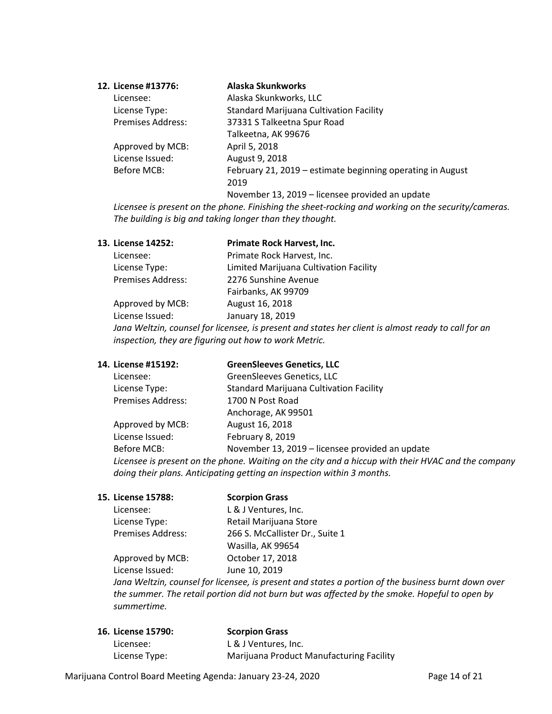| 12. License #13776:      | Alaska Skunkworks                                          |
|--------------------------|------------------------------------------------------------|
| Licensee:                | Alaska Skunkworks, LLC                                     |
| License Type:            | <b>Standard Marijuana Cultivation Facility</b>             |
| <b>Premises Address:</b> | 37331 S Talkeetna Spur Road                                |
|                          | Talkeetna, AK 99676                                        |
| Approved by MCB:         | April 5, 2018                                              |
| License Issued:          | August 9, 2018                                             |
| Before MCB:              | February 21, 2019 – estimate beginning operating in August |
|                          | 2019                                                       |
|                          | November 13, 2019 - licensee provided an update            |

*Licensee is present on the phone. Finishing the sheet-rocking and working on the security/cameras. The building is big and taking longer than they thought.*

| Primate Rock Harvest, Inc.             |
|----------------------------------------|
| Primate Rock Harvest, Inc.             |
| Limited Marijuana Cultivation Facility |
| 2276 Sunshine Avenue                   |
| Fairbanks, AK 99709                    |
| August 16, 2018                        |
| January 18, 2019                       |
|                                        |

*Jana Weltzin, counsel for licensee, is present and states her client is almost ready to call for an inspection, they are figuring out how to work Metric.*

| 14. License #15192:      | <b>GreenSleeves Genetics, LLC</b>                                                                 |
|--------------------------|---------------------------------------------------------------------------------------------------|
| Licensee:                | GreenSleeves Genetics, LLC                                                                        |
| License Type:            | <b>Standard Marijuana Cultivation Facility</b>                                                    |
| <b>Premises Address:</b> | 1700 N Post Road                                                                                  |
|                          | Anchorage, AK 99501                                                                               |
| Approved by MCB:         | August 16, 2018                                                                                   |
| License Issued:          | February 8, 2019                                                                                  |
| Before MCB:              | November 13, 2019 – licensee provided an update                                                   |
|                          | Licensee is present on the phone. Waiting on the city and a hiccup with their HVAC and the compan |

*Licensee is present on the phone. Waiting on the city and a hiccup with their HVAC and the company doing their plans. Anticipating getting an inspection within 3 months.*

| Licensee:         | L & J Ventures, Inc.            |
|-------------------|---------------------------------|
| License Type:     | Retail Marijuana Store          |
| Premises Address: | 266 S. McCallister Dr., Suite 1 |
|                   | Wasilla, AK 99654               |
| Approved by MCB:  | October 17, 2018                |
| License Issued:   | June 10, 2019                   |
|                   |                                 |

**15. License 15788: Scorpion Grass**

*Jana Weltzin, counsel for licensee, is present and states a portion of the business burnt down over the summer. The retail portion did not burn but was affected by the smoke. Hopeful to open by summertime.*

| <b>16. License 15790:</b> | <b>Scorpion Grass</b>                    |
|---------------------------|------------------------------------------|
| Licensee:                 | L & J Ventures, Inc.                     |
| License Type:             | Marijuana Product Manufacturing Facility |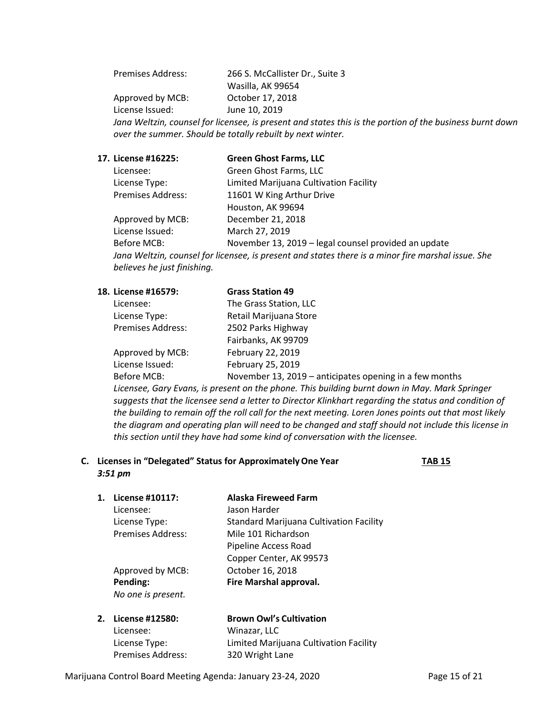Premises Address: 266 S. McCallister Dr., Suite 3 Wasilla, AK 99654 Approved by MCB: October 17, 2018 License Issued: June 10, 2019 *Jana Weltzin, counsel for licensee, is present and states this is the portion of the business burnt down over the summer. Should be totally rebuilt by next winter.*

### **17. License #16225: Green Ghost Farms, LLC**

| Licensee:                   | Green Ghost Farms, LLC                                                                             |
|-----------------------------|----------------------------------------------------------------------------------------------------|
| License Type:               | Limited Marijuana Cultivation Facility                                                             |
| <b>Premises Address:</b>    | 11601 W King Arthur Drive                                                                          |
|                             | Houston, AK 99694                                                                                  |
| Approved by MCB:            | December 21, 2018                                                                                  |
| License Issued:             | March 27, 2019                                                                                     |
| Before MCB:                 | November 13, 2019 – legal counsel provided an update                                               |
|                             | Jana Weltzin, counsel for licensee, is present and states there is a minor fire marshal issue. She |
| believes he just finishing. |                                                                                                    |

| 18. License #16579:      | <b>Grass Station 49</b>                                 |
|--------------------------|---------------------------------------------------------|
| Licensee:                | The Grass Station, LLC                                  |
| License Type:            | Retail Marijuana Store                                  |
| <b>Premises Address:</b> | 2502 Parks Highway                                      |
|                          | Fairbanks, AK 99709                                     |
| Approved by MCB:         | February 22, 2019                                       |
| License Issued:          | February 25, 2019                                       |
| Before MCB:              | November 13, 2019 - anticipates opening in a few months |

*Licensee, Gary Evans, is present on the phone. This building burnt down in May. Mark Springer suggests that the licensee send a letter to Director Klinkhart regarding the status and condition of the building to remain off the roll call for the next meeting. Loren Jones points out that most likely the diagram and operating plan will need to be changed and staff should not include this license in this section until they have had some kind of conversation with the licensee.*

### **C. Licenses in "Delegated" Status for ApproximatelyOne Year TAB 15** *3:51 pm*

**1. License #10117: Alaska Fireweed Farm** Licensee: Jason Harder License Type: Standard Marijuana Cultivation Facility Premises Address: Mile 101 Richardson Pipeline Access Road Copper Center, AK 99573 Approved by MCB: October 16, 2018 **Pending: Fire Marshal approval.** *No one is present.*

| 2. License #12580:       | <b>Brown Owl's Cultivation</b>         |
|--------------------------|----------------------------------------|
| Licensee:                | Winazar, LLC                           |
| License Type:            | Limited Marijuana Cultivation Facility |
| <b>Premises Address:</b> | 320 Wright Lane                        |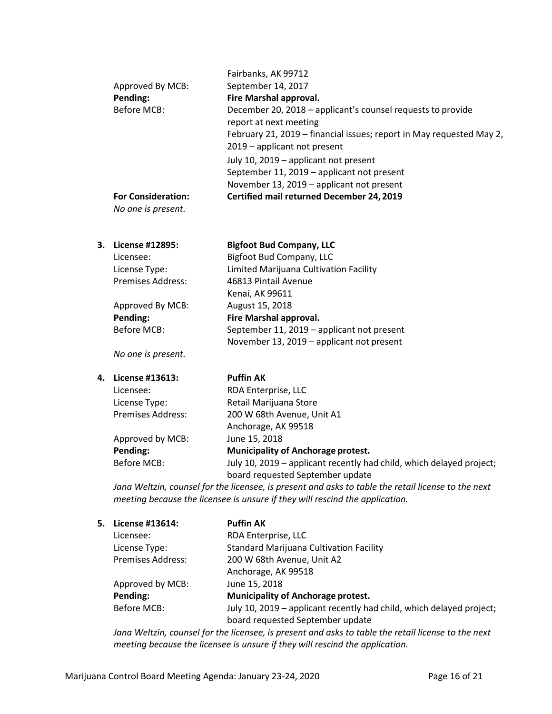|    | Approved By MCB:<br>Pending:<br><b>Before MCB:</b>                                                                                                                                  | Fairbanks, AK 99712<br>September 14, 2017<br>Fire Marshal approval.<br>December 20, 2018 - applicant's counsel requests to provide |  |
|----|-------------------------------------------------------------------------------------------------------------------------------------------------------------------------------------|------------------------------------------------------------------------------------------------------------------------------------|--|
|    |                                                                                                                                                                                     | report at next meeting<br>February 21, 2019 - financial issues; report in May requested May 2,                                     |  |
|    |                                                                                                                                                                                     | 2019 - applicant not present                                                                                                       |  |
|    |                                                                                                                                                                                     | July 10, 2019 - applicant not present                                                                                              |  |
|    |                                                                                                                                                                                     | September 11, 2019 - applicant not present                                                                                         |  |
|    |                                                                                                                                                                                     | November 13, 2019 - applicant not present                                                                                          |  |
|    | <b>For Consideration:</b><br>No one is present.                                                                                                                                     | Certified mail returned December 24, 2019                                                                                          |  |
|    |                                                                                                                                                                                     |                                                                                                                                    |  |
| 3. | License #12895:                                                                                                                                                                     | <b>Bigfoot Bud Company, LLC</b>                                                                                                    |  |
|    | Licensee:                                                                                                                                                                           | <b>Bigfoot Bud Company, LLC</b>                                                                                                    |  |
|    | License Type:                                                                                                                                                                       | Limited Marijuana Cultivation Facility                                                                                             |  |
|    | <b>Premises Address:</b>                                                                                                                                                            | 46813 Pintail Avenue                                                                                                               |  |
|    |                                                                                                                                                                                     | Kenai, AK 99611                                                                                                                    |  |
|    | Approved By MCB:                                                                                                                                                                    | August 15, 2018                                                                                                                    |  |
|    | Pending:                                                                                                                                                                            | Fire Marshal approval.                                                                                                             |  |
|    | <b>Before MCB:</b>                                                                                                                                                                  | September 11, 2019 - applicant not present                                                                                         |  |
|    | No one is present.                                                                                                                                                                  | November 13, 2019 - applicant not present                                                                                          |  |
| 4. | License #13613:                                                                                                                                                                     | <b>Puffin AK</b>                                                                                                                   |  |
|    | Licensee:                                                                                                                                                                           | RDA Enterprise, LLC                                                                                                                |  |
|    | License Type:                                                                                                                                                                       | Retail Marijuana Store                                                                                                             |  |
|    | Premises Address:                                                                                                                                                                   | 200 W 68th Avenue, Unit A1                                                                                                         |  |
|    |                                                                                                                                                                                     | Anchorage, AK 99518                                                                                                                |  |
|    | Approved by MCB:                                                                                                                                                                    | June 15, 2018                                                                                                                      |  |
|    | Pending:                                                                                                                                                                            | Municipality of Anchorage protest.                                                                                                 |  |
|    | <b>Before MCB:</b>                                                                                                                                                                  | July 10, 2019 - applicant recently had child, which delayed project;                                                               |  |
|    |                                                                                                                                                                                     | board requested September update                                                                                                   |  |
|    | Jana Weltzin, counsel for the licensee, is present and asks to table the retail license to the next<br>meeting because the licensee is unsure if they will rescind the application. |                                                                                                                                    |  |
| 5. | License #13614:                                                                                                                                                                     | <b>Puffin AK</b>                                                                                                                   |  |
|    | Licensee:                                                                                                                                                                           | RDA Enterprise, LLC                                                                                                                |  |
|    |                                                                                                                                                                                     |                                                                                                                                    |  |

| LICENSEE.                | <b>RUA ENTERPRISE, LLC</b>                                           |
|--------------------------|----------------------------------------------------------------------|
| License Type:            | <b>Standard Marijuana Cultivation Facility</b>                       |
| <b>Premises Address:</b> | 200 W 68th Avenue, Unit A2                                           |
|                          | Anchorage, AK 99518                                                  |
| Approved by MCB:         | June 15, 2018                                                        |
| Pending:                 | <b>Municipality of Anchorage protest.</b>                            |
| Before MCB:              | July 10, 2019 – applicant recently had child, which delayed project; |
|                          | board requested September update                                     |
|                          |                                                                      |

*Jana Weltzin, counsel for the licensee, is present and asks to table the retail license to the next meeting because the licensee is unsure if they will rescind the application.*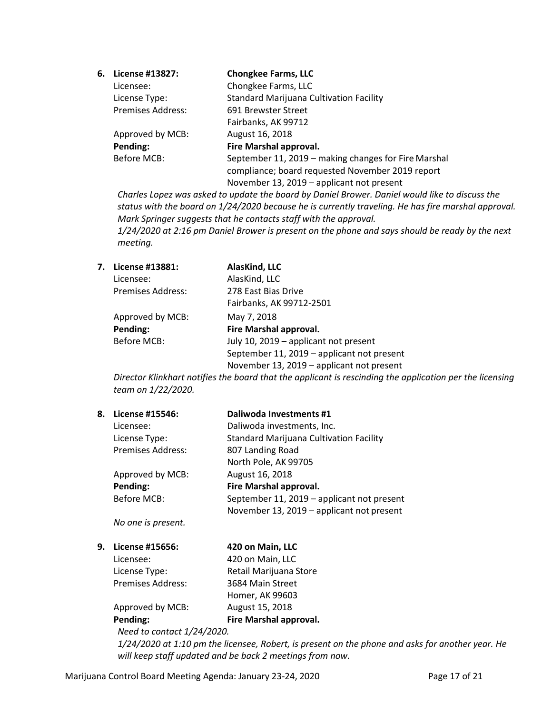| 6. License #13827:       | <b>Chongkee Farms, LLC</b>                           |
|--------------------------|------------------------------------------------------|
| Licensee:                | Chongkee Farms, LLC                                  |
| License Type:            | <b>Standard Marijuana Cultivation Facility</b>       |
| <b>Premises Address:</b> | 691 Brewster Street                                  |
|                          | Fairbanks, AK 99712                                  |
| Approved by MCB:         | August 16, 2018                                      |
| Pending:                 | Fire Marshal approval.                               |
| Before MCB:              | September 11, 2019 - making changes for Fire Marshal |
|                          | compliance; board requested November 2019 report     |
|                          | November 13, 2019 – applicant not present            |

*Charles Lopez was asked to update the board by Daniel Brower. Daniel would like to discuss the status with the board on 1/24/2020 because he is currently traveling. He has fire marshal approval. Mark Springer suggests that he contacts staff with the approval. 1/24/2020 at 2:16 pm Daniel Brower is present on the phone and says should be ready by the next meeting.*

| 7. | License #13881:          | AlasKind, LLC                              |
|----|--------------------------|--------------------------------------------|
|    | Licensee:                | AlasKind, LLC                              |
|    | <b>Premises Address:</b> | 278 East Bias Drive                        |
|    |                          | Fairbanks, AK 99712-2501                   |
|    | Approved by MCB:         | May 7, 2018                                |
|    | Pending:                 | Fire Marshal approval.                     |
|    | Before MCB:              | July 10, 2019 - applicant not present      |
|    |                          | September 11, 2019 – applicant not present |
|    |                          | November 13, 2019 - applicant not present  |

*Director Klinkhart notifies the board that the applicant is rescinding the application per the licensing team on 1/22/2020.*

| 8. | License #15546:          | Daliwoda Investments #1                        |
|----|--------------------------|------------------------------------------------|
|    | Licensee:                | Daliwoda investments, Inc.                     |
|    | License Type:            | <b>Standard Marijuana Cultivation Facility</b> |
|    | <b>Premises Address:</b> | 807 Landing Road                               |
|    |                          | North Pole, AK 99705                           |
|    | Approved by MCB:         | August 16, 2018                                |
|    | Pending:                 | Fire Marshal approval.                         |
|    | <b>Before MCB:</b>       | September 11, 2019 - applicant not present     |
|    |                          | November 13, 2019 - applicant not present      |

*No one is present.*

**9. License #15656: 420 on Main, LLC**

Licensee: 420 on Main, LLC License Type: Retail Marijuana Store Premises Address: 3684 Main Street Homer, AK 99603 Approved by MCB: August 15, 2018 **Pending: Fire Marshal approval.**

*Need to contact 1/24/2020.* 

*1/24/2020 at 1:10 pm the licensee, Robert, is present on the phone and asks for another year. He will keep staff updated and be back 2 meetings from now.*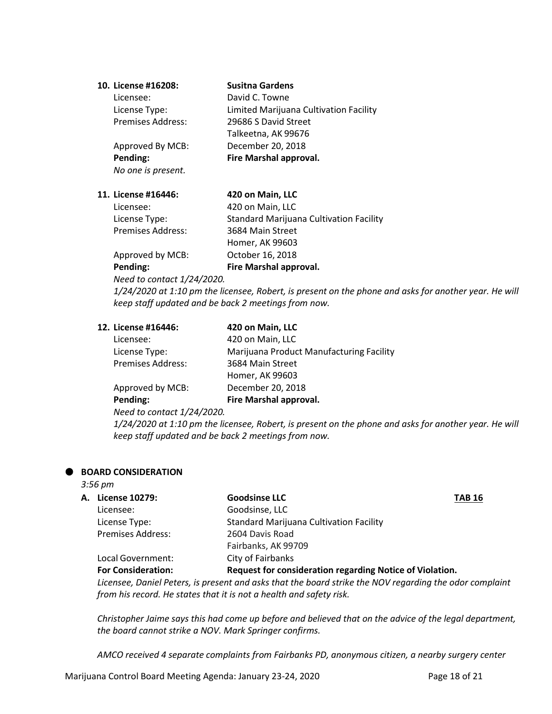| 10. License #16208:      | <b>Susitna Gardens</b>                 |
|--------------------------|----------------------------------------|
| Licensee:                | David C. Towne                         |
| License Type:            | Limited Marijuana Cultivation Facility |
| <b>Premises Address:</b> | 29686 S David Street                   |
|                          | Talkeetna, AK 99676                    |
| Approved By MCB:         | December 20, 2018                      |
| Pending:                 | Fire Marshal approval.                 |
| No one is present.       |                                        |

#### **11. License #16446: 420 on Main, LLC**

| Pending:                 | Fire Marshal approval.                         |
|--------------------------|------------------------------------------------|
| Approved by MCB:         | October 16, 2018                               |
|                          | Homer, AK 99603                                |
| <b>Premises Address:</b> | 3684 Main Street                               |
| License Type:            | <b>Standard Marijuana Cultivation Facility</b> |
| Licensee:                | 420 on Main, LLC                               |

*Need to contact 1/24/2020.* 

*1/24/2020 at 1:10 pm the licensee, Robert, is present on the phone and asks for another year. He will keep staff updated and be back 2 meetings from now.*

## **12. License #16446: 420 on Main, LLC**

| Licensee:                                 | 420 on Main, LLC                         |
|-------------------------------------------|------------------------------------------|
| License Type:                             | Marijuana Product Manufacturing Facility |
| <b>Premises Address:</b>                  | 3684 Main Street                         |
|                                           | Homer, AK 99603                          |
| Approved by MCB:                          | December 20, 2018                        |
| Pending:                                  | Fire Marshal approval.                   |
| $N_{\text{total}}$ is equipment 1/31/3030 |                                          |

*Need to contact 1/24/2020.* 

*1/24/2020 at 1:10 pm the licensee, Robert, is present on the phone and asks for another year. He will keep staff updated and be back 2 meetings from now.*

#### **BOARD CONSIDERATION**

*3:56 pm*

| A. License 10279:         | <b>Goodsinse LLC</b><br><b>TAB 16</b>                    |  |
|---------------------------|----------------------------------------------------------|--|
| Licensee:                 | Goodsinse, LLC                                           |  |
| License Type:             | <b>Standard Marijuana Cultivation Facility</b>           |  |
| <b>Premises Address:</b>  | 2604 Davis Road                                          |  |
|                           | Fairbanks, AK 99709                                      |  |
| Local Government:         | City of Fairbanks                                        |  |
| <b>For Consideration:</b> | Request for consideration regarding Notice of Violation. |  |

*Licensee, Daniel Peters, is present and asks that the board strike the NOV regarding the odor complaint from his record. He states that it is not a health and safety risk.* 

*Christopher Jaime says this had come up before and believed that on the advice of the legal department, the board cannot strike a NOV. Mark Springer confirms.* 

*AMCO received 4 separate complaints from Fairbanks PD, anonymous citizen, a nearby surgery center*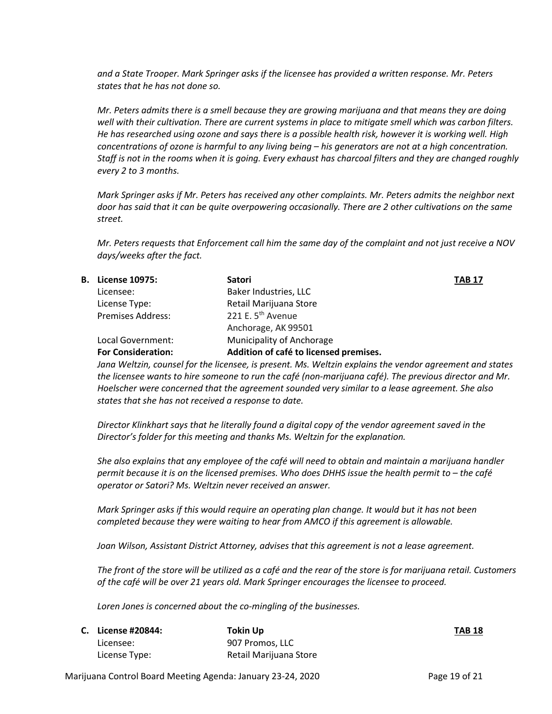*and a State Trooper. Mark Springer asks if the licensee has provided a written response. Mr. Peters states that he has not done so.*

*Mr. Peters admits there is a smell because they are growing marijuana and that means they are doing well with their cultivation. There are current systems in place to mitigate smell which was carbon filters. He has researched using ozone and says there is a possible health risk, however it is working well. High concentrations of ozone is harmful to any living being – his generators are not at a high concentration. Staff is not in the rooms when it is going. Every exhaust has charcoal filters and they are changed roughly every 2 to 3 months.* 

*Mark Springer asks if Mr. Peters has received any other complaints. Mr. Peters admits the neighbor next door has said that it can be quite overpowering occasionally. There are 2 other cultivations on the same street.*

*Mr. Peters requests that Enforcement call him the same day of the complaint and not just receive a NOV days/weeks after the fact.*

| <b>TAB 17</b> |
|---------------|
|               |
|               |
|               |
|               |
|               |
|               |
|               |

*Jana Weltzin, counsel for the licensee, is present. Ms. Weltzin explains the vendor agreement and states the licensee wants to hire someone to run the café (non-marijuana café). The previous director and Mr. Hoelscher were concerned that the agreement sounded very similar to a lease agreement. She also states that she has not received a response to date.* 

*Director Klinkhart says that he literally found a digital copy of the vendor agreement saved in the Director's folder for this meeting and thanks Ms. Weltzin for the explanation.* 

*She also explains that any employee of the café will need to obtain and maintain a marijuana handler permit because it is on the licensed premises. Who does DHHS issue the health permit to – the café operator or Satori? Ms. Weltzin never received an answer.* 

*Mark Springer asks if this would require an operating plan change. It would but it has not been completed because they were waiting to hear from AMCO if this agreement is allowable.*

*Joan Wilson, Assistant District Attorney, advises that this agreement is not a lease agreement.* 

*The front of the store will be utilized as a café and the rear of the store is for marijuana retail. Customers of the café will be over 21 years old. Mark Springer encourages the licensee to proceed.*

*Loren Jones is concerned about the co-mingling of the businesses.*

| C. License #20844: | Tokin Up               | <b>TAB 18</b> |
|--------------------|------------------------|---------------|
| Licensee:          | 907 Promos, LLC        |               |
| License Type:      | Retail Marijuana Store |               |

Marijuana Control Board Meeting Agenda: January 23-24, 2020 Page 19 of 21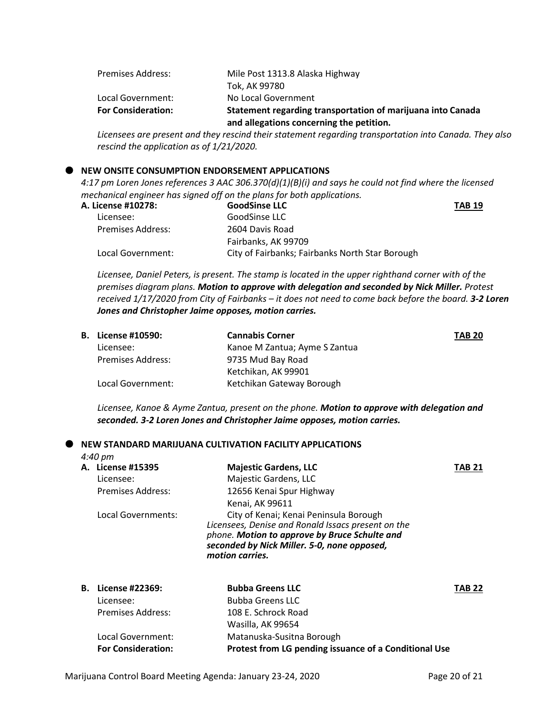| <b>Premises Address:</b>  | Mile Post 1313.8 Alaska Highway                             |
|---------------------------|-------------------------------------------------------------|
|                           | Tok, AK 99780                                               |
| Local Government:         | No Local Government                                         |
| <b>For Consideration:</b> | Statement regarding transportation of marijuana into Canada |
|                           | and allegations concerning the petition.                    |

*Licensees are present and they rescind their statement regarding transportation into Canada. They also rescind the application as of 1/21/2020.*

## **NEW ONSITE CONSUMPTION ENDORSEMENT APPLICATIONS**

*4:17 pm Loren Jones references 3 AAC 306.370(d)(1)(B)(i) and says he could not find where the licensed mechanical engineer has signed off on the plans for both applications.* 

| A. License #10278:       | <b>GoodSinse LLC</b>                            |
|--------------------------|-------------------------------------------------|
| Licensee:                | GoodSinse LLC                                   |
| <b>Premises Address:</b> | 2604 Davis Road                                 |
|                          | Fairbanks, AK 99709                             |
| Local Government:        | City of Fairbanks; Fairbanks North Star Borough |

*Licensee, Daniel Peters, is present. The stamp is located in the upper righthand corner with of the premises diagram plans. Motion to approve with delegation and seconded by Nick Miller. Protest received 1/17/2020 from City of Fairbanks – it does not need to come back before the board. 3-2 Loren Jones and Christopher Jaime opposes, motion carries.*

| <b>B.</b> License #10590: | <b>Cannabis Corner</b>        | <b>TAB 20</b> |
|---------------------------|-------------------------------|---------------|
| Licensee:                 | Kanoe M Zantua; Ayme S Zantua |               |
| <b>Premises Address:</b>  | 9735 Mud Bay Road             |               |
|                           | Ketchikan, AK 99901           |               |
| Local Government:         | Ketchikan Gateway Borough     |               |

*Licensee, Kanoe & Ayme Zantua, present on the phone. Motion to approve with delegation and seconded. 3-2 Loren Jones and Christopher Jaime opposes, motion carries.*

#### **NEW STANDARD MARIJUANA CULTIVATION FACILITY APPLICATIONS**

*4:40 pm*

| A. License #15395<br>Licensee:<br><b>Premises Address:</b> | <b>Majestic Gardens, LLC</b><br>Majestic Gardens, LLC<br>12656 Kenai Spur Highway<br>Kenai, AK 99611                                                                                                            | TAB 21        |
|------------------------------------------------------------|-----------------------------------------------------------------------------------------------------------------------------------------------------------------------------------------------------------------|---------------|
| Local Governments:                                         | City of Kenai; Kenai Peninsula Borough<br>Licensees, Denise and Ronald Issacs present on the<br>phone. Motion to approve by Bruce Schulte and<br>seconded by Nick Miller. 5-0, none opposed,<br>motion carries. |               |
| <b>B.</b> License #22369:                                  | <b>Bubba Greens LLC</b>                                                                                                                                                                                         | <b>TAB 22</b> |

| $\blacksquare$            | DUDDA QIEEIIS LLC                                     | 1 NU 4 |
|---------------------------|-------------------------------------------------------|--------|
| Licensee:                 | <b>Bubba Greens LLC</b>                               |        |
| Premises Address:         | 108 E. Schrock Road                                   |        |
|                           | Wasilla, AK 99654                                     |        |
| Local Government:         | Matanuska-Susitna Borough                             |        |
| <b>For Consideration:</b> | Protest from LG pending issuance of a Conditional Use |        |
|                           |                                                       |        |

**TAB 19**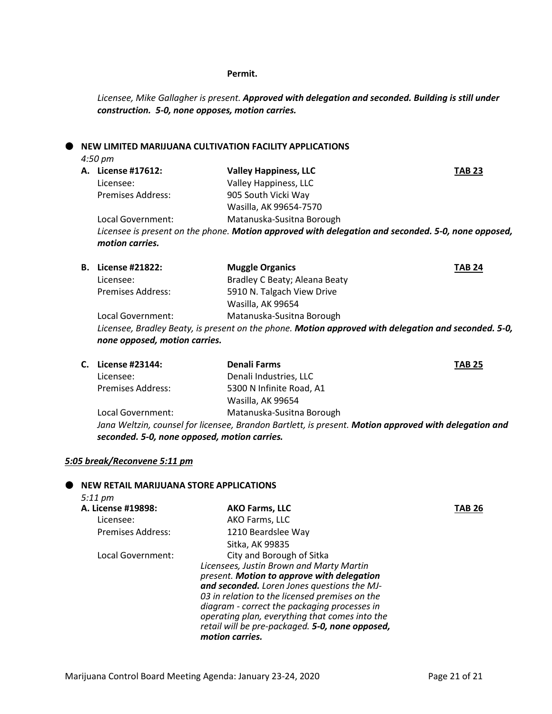#### **Permit.**

*Licensee, Mike Gallagher is present. Approved with delegation and seconded. Building is still under construction. 5-0, none opposes, motion carries.*

### **NEW LIMITED MARIJUANA CULTIVATION FACILITY APPLICATIONS**

*4:50 pm*

| A. License #17612:       | <b>Valley Happiness, LLC</b>                                                                       | <b>TAB 23</b> |
|--------------------------|----------------------------------------------------------------------------------------------------|---------------|
| Licensee:                | Valley Happiness, LLC                                                                              |               |
| <b>Premises Address:</b> | 905 South Vicki Way                                                                                |               |
|                          | Wasilla, AK 99654-7570                                                                             |               |
| Local Government:        | Matanuska-Susitna Borough                                                                          |               |
| motion carries.          | Licensee is present on the phone. Motion approved with delegation and seconded. 5-0, none opposed, |               |

| <b>B.</b> License #21822:     | <b>Muggle Organics</b>                                                                               | <b>TAB 24</b> |
|-------------------------------|------------------------------------------------------------------------------------------------------|---------------|
| Licensee:                     | Bradley C Beaty; Aleana Beaty                                                                        |               |
| <b>Premises Address:</b>      | 5910 N. Talgach View Drive                                                                           |               |
|                               | Wasilla, AK 99654                                                                                    |               |
| Local Government:             | Matanuska-Susitna Borough                                                                            |               |
|                               | Licensee, Bradley Beaty, is present on the phone. Motion approved with delegation and seconded. 5-0, |               |
| none opposed, motion carries. |                                                                                                      |               |

| C. License #23144:                           | <b>Denali Farms</b>                                                                                   | <b>TAB 25</b> |
|----------------------------------------------|-------------------------------------------------------------------------------------------------------|---------------|
| Licensee:                                    | Denali Industries, LLC                                                                                |               |
| <b>Premises Address:</b>                     | 5300 N Infinite Road, A1                                                                              |               |
|                                              | Wasilla, AK 99654                                                                                     |               |
| Local Government:                            | Matanuska-Susitna Borough                                                                             |               |
|                                              | Jana Weltzin, counsel for licensee, Brandon Bartlett, is present. Motion approved with delegation and |               |
| seconded. 5-0, none opposed, motion carries. |                                                                                                       |               |

## *5:05 break/Reconvene 5:11 pm*

### **NEW RETAIL MARIJUANA STORE APPLICATIONS**

| $5:11 \text{ pm}$  |                                                 |        |
|--------------------|-------------------------------------------------|--------|
| A. License #19898: | <b>AKO Farms, LLC</b>                           | TAB 26 |
| Licensee:          | AKO Farms, LLC                                  |        |
| Premises Address:  | 1210 Beardslee Way                              |        |
|                    | Sitka, AK 99835                                 |        |
| Local Government:  | City and Borough of Sitka                       |        |
|                    | Licensees, Justin Brown and Marty Martin        |        |
|                    | present. Motion to approve with delegation      |        |
|                    | and seconded. Loren Jones questions the MJ-     |        |
|                    | 03 in relation to the licensed premises on the  |        |
|                    | diagram - correct the packaging processes in    |        |
|                    | operating plan, everything that comes into the  |        |
|                    | retail will be pre-packaged. 5-0, none opposed, |        |
|                    | motion carries.                                 |        |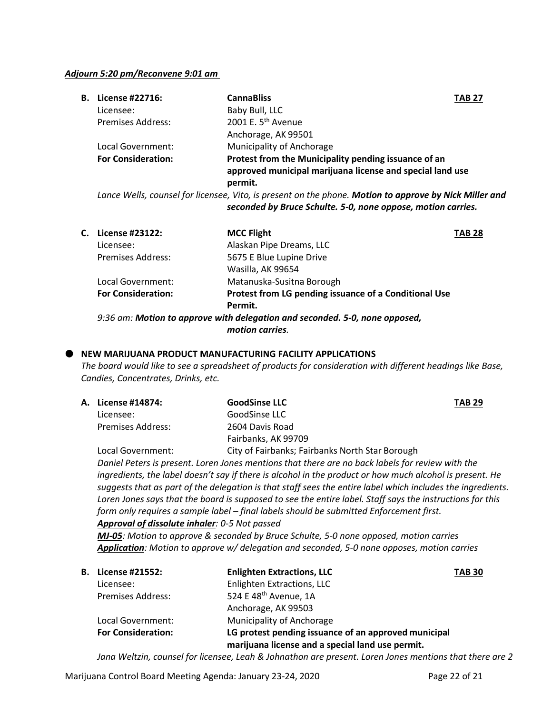#### *Adjourn 5:20 pm/Reconvene 9:01 am*

| <b>B.</b> License #22716: | <b>CannaBliss</b><br><b>TAB 27</b>                                                                     |  |
|---------------------------|--------------------------------------------------------------------------------------------------------|--|
| Licensee:                 | Baby Bull, LLC                                                                                         |  |
| <b>Premises Address:</b>  | 2001 E. 5 <sup>th</sup> Avenue                                                                         |  |
|                           | Anchorage, AK 99501                                                                                    |  |
| Local Government:         | Municipality of Anchorage                                                                              |  |
| <b>For Consideration:</b> | Protest from the Municipality pending issuance of an                                                   |  |
|                           | approved municipal marijuana license and special land use                                              |  |
|                           | permit.                                                                                                |  |
|                           | Lance Wells, counsel for licensee. Vito, is present on the phone. Motion to annroye by Nick Miller and |  |

*Lance Wells, counsel for licensee, Vito, is present on the phone. Motion to approve by Nick Miller and seconded by Bruce Schulte. 5-0, none oppose, motion carries.*

| C. License #23122:        | <b>MCC Flight</b>                                     | <b>TAB 28</b> |
|---------------------------|-------------------------------------------------------|---------------|
| Licensee:                 | Alaskan Pipe Dreams, LLC                              |               |
| <b>Premises Address:</b>  | 5675 E Blue Lupine Drive                              |               |
|                           | Wasilla, AK 99654                                     |               |
| Local Government:         | Matanuska-Susitna Borough                             |               |
| <b>For Consideration:</b> | Protest from LG pending issuance of a Conditional Use |               |
|                           | Permit.                                               |               |
|                           |                                                       |               |

*9:36 am: Motion to approve with delegation and seconded. 5-0, none opposed, motion carries.*

## **NEW MARIJUANA PRODUCT MANUFACTURING FACILITY APPLICATIONS**

*The board would like to see a spreadsheet of products for consideration with different headings like Base, Candies, Concentrates, Drinks, etc.* 

| A. License #14874:       | <b>GoodSinse LLC</b><br><b>TAB 29</b>                                                                     |  |
|--------------------------|-----------------------------------------------------------------------------------------------------------|--|
| Licensee:                | GoodSinse LLC                                                                                             |  |
| <b>Premises Address:</b> | 2604 Davis Road                                                                                           |  |
|                          | Fairbanks, AK 99709                                                                                       |  |
| Local Government:        | City of Fairbanks; Fairbanks North Star Borough                                                           |  |
|                          | Daniel Peters is present. Loren Jones mentions that there are no back labels for review with the          |  |
|                          | inarodiante, the label descrit cau if there is alsohol in the product or hour much alsohol is present. Us |  |

*ingredients, the label doesn't say if there is alcohol in the product or how much alcohol is present. He suggests that as part of the delegation is that staff sees the entire label which includes the ingredients. Loren Jones says that the board is supposed to see the entire label. Staff says the instructions for this form only requires a sample label – final labels should be submitted Enforcement first. Approval of dissolute inhaler: 0-5 Not passed*

*MJ-05: Motion to approve & seconded by Bruce Schulte, 5-0 none opposed, motion carries Application: Motion to approve w/ delegation and seconded, 5-0 none opposes, motion carries*

| В. | License #21552:           | <b>Enlighten Extractions, LLC</b>                                                                        | <b>TAB 30</b> |
|----|---------------------------|----------------------------------------------------------------------------------------------------------|---------------|
|    | Licensee:                 | Enlighten Extractions, LLC                                                                               |               |
|    | <b>Premises Address:</b>  | 524 E 48 <sup>th</sup> Avenue, 1A                                                                        |               |
|    |                           | Anchorage, AK 99503                                                                                      |               |
|    | Local Government:         | Municipality of Anchorage                                                                                |               |
|    | <b>For Consideration:</b> | LG protest pending issuance of an approved municipal<br>marijuana license and a special land use permit. |               |

*Jana Weltzin, counsel for licensee, Leah & Johnathon are present. Loren Jones mentions that there are 2*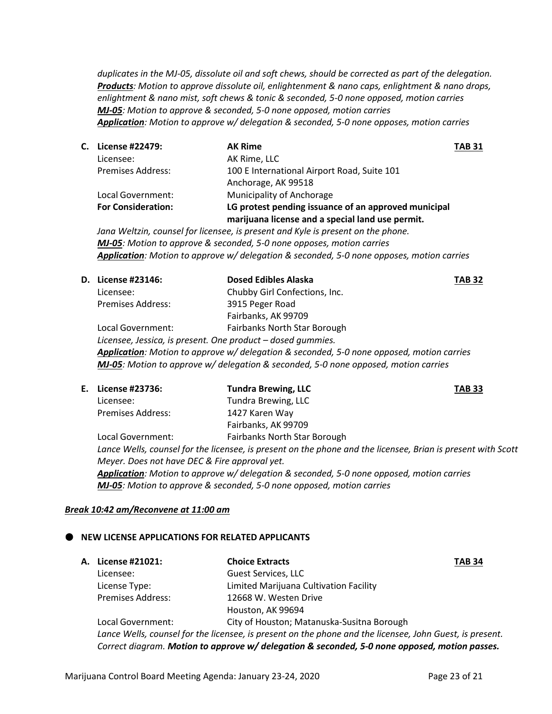*duplicates in the MJ-05, dissolute oil and soft chews, should be corrected as part of the delegation. Products: Motion to approve dissolute oil, enlightenment & nano caps, enlightment & nano drops, enlightment & nano mist, soft chews & tonic & seconded, 5-0 none opposed, motion carries MJ-05: Motion to approve & seconded, 5-0 none opposed, motion carries Application: Motion to approve w/ delegation & seconded, 5-0 none opposes, motion carries*

**C. License #22479: AK Rime TAB 31** Licensee: AK Rime, LLC Premises Address: 100 E International Airport Road, Suite 101 Anchorage, AK 99518 Local Government: Municipality of Anchorage **For Consideration: LG protest pending issuance of an approved municipal marijuana license and a special land use permit.**

*Jana Weltzin, counsel for licensee, is present and Kyle is present on the phone. MJ-05: Motion to approve & seconded, 5-0 none opposes, motion carries Application: Motion to approve w/ delegation & seconded, 5-0 none opposes, motion carries*

| D. License #23146:                                          | <b>Dosed Edibles Alaska</b>                                                               | TAB 32 |
|-------------------------------------------------------------|-------------------------------------------------------------------------------------------|--------|
| Licensee:                                                   | Chubby Girl Confections, Inc.                                                             |        |
| <b>Premises Address:</b>                                    | 3915 Peger Road                                                                           |        |
|                                                             | Fairbanks, AK 99709                                                                       |        |
| Local Government:                                           | Fairbanks North Star Borough                                                              |        |
| Licensee, Jessica, is present. One product - dosed gummies. |                                                                                           |        |
|                                                             | Application: Motion to approve w/ delegation & seconded, 5-0 none opposed, motion carries |        |
|                                                             | MJ-05: Motion to approve w/ delegation & seconded, 5-0 none opposed, motion carries       |        |
|                                                             |                                                                                           |        |

| E. License #23736:                            | <b>Tundra Brewing, LLC</b>                                                                                   | <b>TAB 33</b> |
|-----------------------------------------------|--------------------------------------------------------------------------------------------------------------|---------------|
| Licensee:                                     | Tundra Brewing, LLC                                                                                          |               |
| <b>Premises Address:</b>                      | 1427 Karen Way                                                                                               |               |
|                                               | Fairbanks, AK 99709                                                                                          |               |
| Local Government:                             | Fairbanks North Star Borough                                                                                 |               |
|                                               | Lance Wells, counsel for the licensee, is present on the phone and the licensee, Brian is present with Scott |               |
| Meyer. Does not have DEC & Fire approval yet. |                                                                                                              |               |
|                                               | Application: Motion to approve w/ delegation & seconded, 5-0 none opposed, motion carries                    |               |
|                                               | <b>MJ-05</b> : Motion to approve & seconded, 5-0 none opposed, motion carries                                |               |

### *Break 10:42 am/Reconvene at 11:00 am*

## **NEW LICENSE APPLICATIONS FOR RELATED APPLICANTS**

| <b>A. License #21021:</b>                                                                     | <b>Choice Extracts</b>                                                                                   | <b>TAB 34</b> |
|-----------------------------------------------------------------------------------------------|----------------------------------------------------------------------------------------------------------|---------------|
| Licensee:                                                                                     | Guest Services, LLC                                                                                      |               |
| License Type:                                                                                 | Limited Marijuana Cultivation Facility                                                                   |               |
| <b>Premises Address:</b>                                                                      | 12668 W. Westen Drive                                                                                    |               |
|                                                                                               | Houston, AK 99694                                                                                        |               |
| Local Government:                                                                             | City of Houston; Matanuska-Susitna Borough                                                               |               |
|                                                                                               | Lance Wells, counsel for the licensee, is present on the phone and the licensee, John Guest, is present. |               |
| Correct diagram. Motion to approve w/ delegation & seconded, 5-0 none opposed, motion passes. |                                                                                                          |               |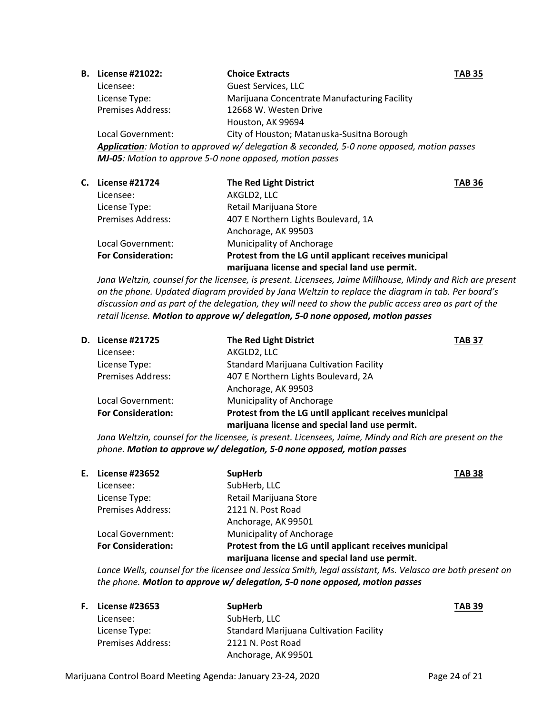| <b>B.</b> License #21022:                                        | <b>Choice Extracts</b>                                                                    | <b>TAB 35</b> |
|------------------------------------------------------------------|-------------------------------------------------------------------------------------------|---------------|
| Licensee:                                                        | <b>Guest Services, LLC</b>                                                                |               |
| License Type:                                                    | Marijuana Concentrate Manufacturing Facility                                              |               |
| <b>Premises Address:</b>                                         | 12668 W. Westen Drive                                                                     |               |
|                                                                  | Houston, AK 99694                                                                         |               |
| Local Government:                                                | City of Houston; Matanuska-Susitna Borough                                                |               |
|                                                                  | Application: Motion to approved w/ delegation & seconded, 5-0 none opposed, motion passes |               |
| <b>MJ-05</b> : Motion to approve 5-0 none opposed, motion passes |                                                                                           |               |

| С. | <b>License #21724</b>     | <b>The Red Light District</b>                          | <b>TAB 36</b> |
|----|---------------------------|--------------------------------------------------------|---------------|
|    | Licensee:                 | AKGLD2, LLC                                            |               |
|    | License Type:             | Retail Marijuana Store                                 |               |
|    | <b>Premises Address:</b>  | 407 E Northern Lights Boulevard, 1A                    |               |
|    |                           | Anchorage, AK 99503                                    |               |
|    | Local Government:         | <b>Municipality of Anchorage</b>                       |               |
|    | <b>For Consideration:</b> | Protest from the LG until applicant receives municipal |               |
|    |                           | marijuana license and special land use permit.         |               |

*Jana Weltzin, counsel for the licensee, is present. Licensees, Jaime Millhouse, Mindy and Rich are present on the phone. Updated diagram provided by Jana Weltzin to replace the diagram in tab. Per board's discussion and as part of the delegation, they will need to show the public access area as part of the retail license. Motion to approve w/ delegation, 5-0 none opposed, motion passes*

| D. License #21725         | <b>The Red Light District</b>                                                                            | <b>TAB 37</b> |
|---------------------------|----------------------------------------------------------------------------------------------------------|---------------|
| Licensee:                 | AKGLD2, LLC                                                                                              |               |
| License Type:             | <b>Standard Marijuana Cultivation Facility</b>                                                           |               |
| <b>Premises Address:</b>  | 407 E Northern Lights Boulevard, 2A                                                                      |               |
|                           | Anchorage, AK 99503                                                                                      |               |
| Local Government:         | Municipality of Anchorage                                                                                |               |
| <b>For Consideration:</b> | Protest from the LG until applicant receives municipal<br>marijuana license and special land use permit. |               |

*Jana Weltzin, counsel for the licensee, is present. Licensees, Jaime, Mindy and Rich are present on the phone. Motion to approve w/ delegation, 5-0 none opposed, motion passes*

| License #23652            | <b>SupHerb</b>                                                                                           | <b>TAB 38</b> |
|---------------------------|----------------------------------------------------------------------------------------------------------|---------------|
| Licensee:                 | SubHerb, LLC                                                                                             |               |
| License Type:             | Retail Marijuana Store                                                                                   |               |
| <b>Premises Address:</b>  | 2121 N. Post Road                                                                                        |               |
|                           | Anchorage, AK 99501                                                                                      |               |
| Local Government:         | Municipality of Anchorage                                                                                |               |
| <b>For Consideration:</b> | Protest from the LG until applicant receives municipal<br>marijuana license and special land use permit. |               |
|                           | Е.                                                                                                       |               |

*Lance Wells, counsel for the licensee and Jessica Smith, legal assistant, Ms. Velasco are both present on the phone. Motion to approve w/ delegation, 5-0 none opposed, motion passes*

| <b>F.</b> License #23653 | <b>SupHerb</b>                          | <b>TAB 39</b> |
|--------------------------|-----------------------------------------|---------------|
| Licensee:                | SubHerb, LLC                            |               |
| License Type:            | Standard Marijuana Cultivation Facility |               |
| <b>Premises Address:</b> | 2121 N. Post Road                       |               |
|                          | Anchorage, AK 99501                     |               |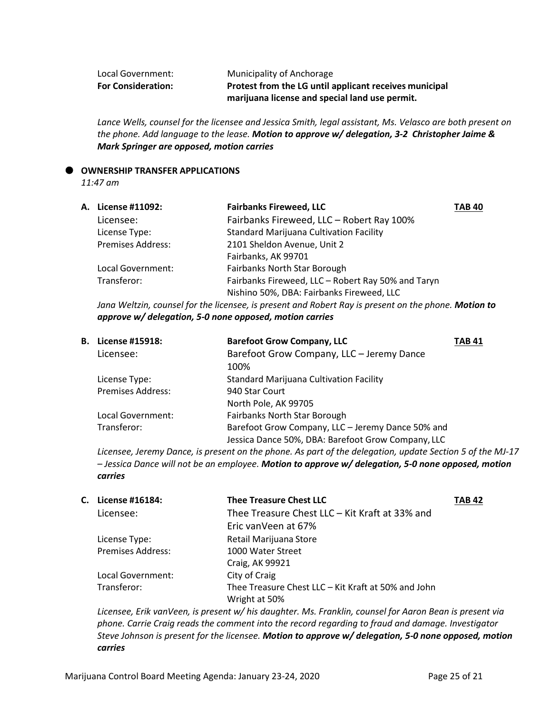| Local Government:         | Municipality of Anchorage                              |
|---------------------------|--------------------------------------------------------|
| <b>For Consideration:</b> | Protest from the LG until applicant receives municipal |
|                           | marijuana license and special land use permit.         |

*Lance Wells, counsel for the licensee and Jessica Smith, legal assistant, Ms. Velasco are both present on the phone. Add language to the lease. Motion to approve w/ delegation, 3-2 Christopher Jaime & Mark Springer are opposed, motion carries*

#### **OWNERSHIP TRANSFER APPLICATIONS**

*11:47 am*

| A. License #11092:       | <b>Fairbanks Fireweed, LLC</b>                     | <b>TAB 40</b> |
|--------------------------|----------------------------------------------------|---------------|
| Licensee:                | Fairbanks Fireweed, LLC - Robert Ray 100%          |               |
| License Type:            | <b>Standard Marijuana Cultivation Facility</b>     |               |
| <b>Premises Address:</b> | 2101 Sheldon Avenue, Unit 2                        |               |
|                          | Fairbanks, AK 99701                                |               |
| Local Government:        | Fairbanks North Star Borough                       |               |
| Transferor:              | Fairbanks Fireweed, LLC - Robert Ray 50% and Taryn |               |
|                          | Nishino 50%, DBA: Fairbanks Fireweed, LLC          |               |
|                          |                                                    |               |

*Jana Weltzin, counsel for the licensee, is present and Robert Ray is present on the phone. Motion to approve w/ delegation, 5-0 none opposed, motion carries*

| <b>B.</b> License #15918: | <b>Barefoot Grow Company, LLC</b>                  | <b>TAB 41</b> |
|---------------------------|----------------------------------------------------|---------------|
| Licensee:                 | Barefoot Grow Company, LLC - Jeremy Dance          |               |
|                           | 100%                                               |               |
| License Type:             | <b>Standard Marijuana Cultivation Facility</b>     |               |
| <b>Premises Address:</b>  | 940 Star Court                                     |               |
|                           | North Pole, AK 99705                               |               |
| Local Government:         | <b>Fairbanks North Star Borough</b>                |               |
| Transferor:               | Barefoot Grow Company, LLC - Jeremy Dance 50% and  |               |
|                           | Jessica Dance 50%, DBA: Barefoot Grow Company, LLC |               |

*Licensee, Jeremy Dance, is present on the phone. As part of the delegation, update Section 5 of the MJ-17 – Jessica Dance will not be an employee. Motion to approve w/ delegation, 5-0 none opposed, motion carries*

| C. License #16184:       | <b>Thee Treasure Chest LLC</b>                      | <b>TAB 42</b> |
|--------------------------|-----------------------------------------------------|---------------|
| Licensee:                | Thee Treasure Chest LLC - Kit Kraft at 33% and      |               |
|                          | Eric vanVeen at 67%                                 |               |
| License Type:            | Retail Marijuana Store                              |               |
| <b>Premises Address:</b> | 1000 Water Street                                   |               |
|                          | Craig, AK 99921                                     |               |
| Local Government:        | City of Craig                                       |               |
| Transferor:              | Thee Treasure Chest LLC - Kit Kraft at 50% and John |               |
|                          | Wright at 50%                                       |               |

*Licensee, Erik vanVeen, is present w/ his daughter. Ms. Franklin, counsel for Aaron Bean is present via phone. Carrie Craig reads the comment into the record regarding to fraud and damage. Investigator Steve Johnson is present for the licensee. Motion to approve w/ delegation, 5-0 none opposed, motion carries*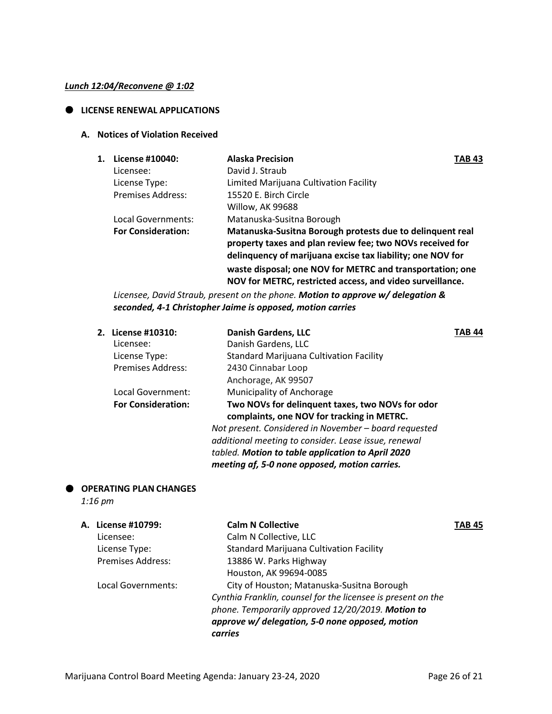### *Lunch 12:04/Reconvene @ 1:02*

## **LICENSE RENEWAL APPLICATIONS**

## **A. Notices of Violation Received**

| 1. | License #10040:           | <b>Alaska Precision</b>                                                                                                                                                              | <b>TAB 43</b> |
|----|---------------------------|--------------------------------------------------------------------------------------------------------------------------------------------------------------------------------------|---------------|
|    | Licensee:                 | David J. Straub                                                                                                                                                                      |               |
|    | License Type:             | Limited Marijuana Cultivation Facility                                                                                                                                               |               |
|    | <b>Premises Address:</b>  | 15520 E. Birch Circle                                                                                                                                                                |               |
|    |                           | Willow, AK 99688                                                                                                                                                                     |               |
|    | Local Governments:        | Matanuska-Susitna Borough                                                                                                                                                            |               |
|    | <b>For Consideration:</b> | Matanuska-Susitna Borough protests due to delinquent real<br>property taxes and plan review fee; two NOVs received for<br>delinquency of marijuana excise tax liability; one NOV for |               |
|    |                           | waste disposal; one NOV for METRC and transportation; one<br>NOV for METRC, restricted access, and video surveillance.                                                               |               |

*Licensee, David Straub, present on the phone. Motion to approve w/ delegation & seconded, 4-1 Christopher Jaime is opposed, motion carries*

| 2. License #10310:        | <b>Danish Gardens, LLC</b>                                                                     | TAB 44 |
|---------------------------|------------------------------------------------------------------------------------------------|--------|
| Licensee:                 | Danish Gardens, LLC                                                                            |        |
| License Type:             | <b>Standard Marijuana Cultivation Facility</b>                                                 |        |
| <b>Premises Address:</b>  | 2430 Cinnabar Loop                                                                             |        |
|                           | Anchorage, AK 99507                                                                            |        |
| Local Government:         | Municipality of Anchorage                                                                      |        |
| <b>For Consideration:</b> | Two NOVs for delinquent taxes, two NOVs for odor<br>complaints, one NOV for tracking in METRC. |        |
|                           | Not present. Considered in November - board requested                                          |        |
|                           | additional meeting to consider. Lease issue, renewal                                           |        |
|                           | tabled. Motion to table application to April 2020                                              |        |
|                           | meeting af, 5-0 none opposed, motion carries.                                                  |        |

## **OPERATING PLAN CHANGES**

*1:16 pm*

| A. License #10799:       | <b>Calm N Collective</b>                                     | TAB 45 |
|--------------------------|--------------------------------------------------------------|--------|
| Licensee:                | Calm N Collective, LLC                                       |        |
| License Type:            | <b>Standard Marijuana Cultivation Facility</b>               |        |
| <b>Premises Address:</b> | 13886 W. Parks Highway                                       |        |
|                          | Houston, AK 99694-0085                                       |        |
| Local Governments:       | City of Houston; Matanuska-Susitna Borough                   |        |
|                          | Cynthia Franklin, counsel for the licensee is present on the |        |
|                          | phone. Temporarily approved 12/20/2019. Motion to            |        |
|                          | approve w/ delegation, 5-0 none opposed, motion              |        |
|                          | carries                                                      |        |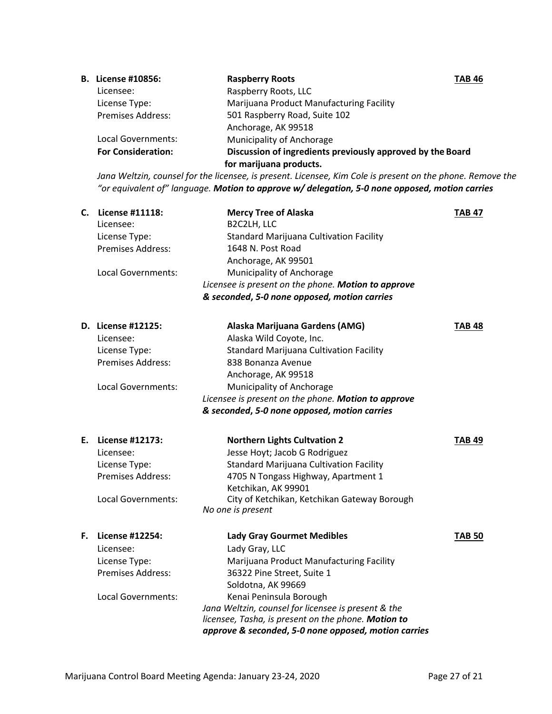| <b>B.</b> License #10856: | <b>Raspberry Roots</b>                                     | <b>TAB 46</b> |
|---------------------------|------------------------------------------------------------|---------------|
| Licensee:                 | Raspberry Roots, LLC                                       |               |
| License Type:             | Marijuana Product Manufacturing Facility                   |               |
| <b>Premises Address:</b>  | 501 Raspberry Road, Suite 102                              |               |
|                           | Anchorage, AK 99518                                        |               |
| Local Governments:        | Municipality of Anchorage                                  |               |
| <b>For Consideration:</b> | Discussion of ingredients previously approved by the Board |               |
|                           | for marijuana products.                                    |               |

*Jana Weltzin, counsel for the licensee, is present. Licensee, Kim Cole is present on the phone. Remove the "or equivalent of" language. Motion to approve w/ delegation, 5-0 none opposed, motion carries*

| C. | License #11118:<br>Licensee:<br>License Type:<br><b>Premises Address:</b> | <b>Mercy Tree of Alaska</b><br>B2C2LH, LLC<br><b>Standard Marijuana Cultivation Facility</b><br>1648 N. Post Road<br>Anchorage, AK 99501 | <b>TAB 47</b> |
|----|---------------------------------------------------------------------------|------------------------------------------------------------------------------------------------------------------------------------------|---------------|
|    | Local Governments:                                                        | Municipality of Anchorage                                                                                                                |               |
|    |                                                                           | Licensee is present on the phone. Motion to approve                                                                                      |               |
|    |                                                                           | & seconded, 5-0 none opposed, motion carries                                                                                             |               |
|    | D. License #12125:                                                        | Alaska Marijuana Gardens (AMG)                                                                                                           | <b>TAB 48</b> |
|    | Licensee:                                                                 | Alaska Wild Coyote, Inc.                                                                                                                 |               |
|    | License Type:                                                             | <b>Standard Marijuana Cultivation Facility</b>                                                                                           |               |
|    | Premises Address:                                                         | 838 Bonanza Avenue                                                                                                                       |               |
|    |                                                                           | Anchorage, AK 99518                                                                                                                      |               |
|    | Local Governments:                                                        | Municipality of Anchorage                                                                                                                |               |
|    |                                                                           | Licensee is present on the phone. Motion to approve                                                                                      |               |
|    |                                                                           | & seconded, 5-0 none opposed, motion carries                                                                                             |               |
| Е. | License #12173:                                                           | <b>Northern Lights Cultvation 2</b>                                                                                                      | <b>TAB 49</b> |
|    | Licensee:                                                                 | Jesse Hoyt; Jacob G Rodriguez                                                                                                            |               |
|    | License Type:                                                             | <b>Standard Marijuana Cultivation Facility</b>                                                                                           |               |
|    | Premises Address:                                                         | 4705 N Tongass Highway, Apartment 1<br>Ketchikan, AK 99901                                                                               |               |
|    | Local Governments:                                                        | City of Ketchikan, Ketchikan Gateway Borough                                                                                             |               |
|    |                                                                           | No one is present                                                                                                                        |               |
| F. | License #12254:                                                           | <b>Lady Gray Gourmet Medibles</b>                                                                                                        | <b>TAB 50</b> |
|    | Licensee:                                                                 | Lady Gray, LLC                                                                                                                           |               |
|    | License Type:                                                             | Marijuana Product Manufacturing Facility                                                                                                 |               |
|    | <b>Premises Address:</b>                                                  | 36322 Pine Street, Suite 1                                                                                                               |               |
|    |                                                                           | Soldotna, AK 99669                                                                                                                       |               |
|    | Local Governments:                                                        | Kenai Peninsula Borough                                                                                                                  |               |
|    |                                                                           | Jana Weltzin, counsel for licensee is present & the                                                                                      |               |
|    |                                                                           | licensee, Tasha, is present on the phone. Motion to                                                                                      |               |
|    |                                                                           | approve & seconded, 5-0 none opposed, motion carries                                                                                     |               |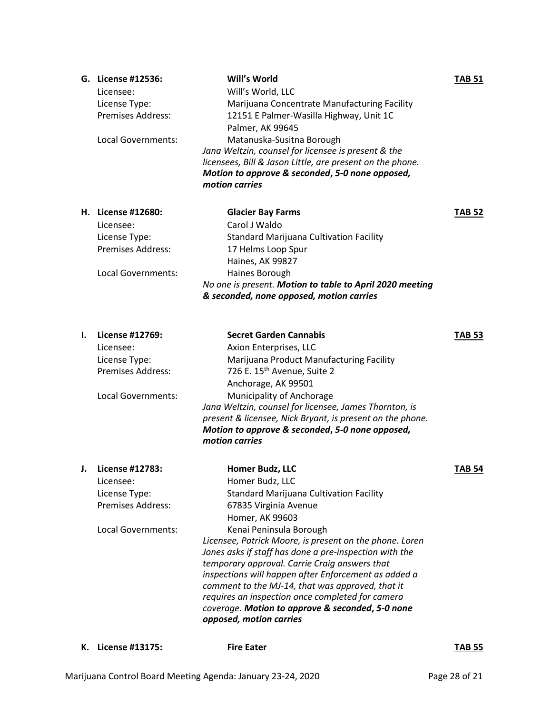|    | G. License #12536:<br>Licensee:<br>License Type:<br><b>Premises Address:</b><br>Local Governments: | Will's World<br>Will's World, LLC<br>Marijuana Concentrate Manufacturing Facility<br>12151 E Palmer-Wasilla Highway, Unit 1C<br>Palmer, AK 99645<br>Matanuska-Susitna Borough<br>Jana Weltzin, counsel for licensee is present & the<br>licensees, Bill & Jason Little, are present on the phone.<br>Motion to approve & seconded, 5-0 none opposed,<br>motion carries                                                                       | <b>TAB 51</b> |
|----|----------------------------------------------------------------------------------------------------|----------------------------------------------------------------------------------------------------------------------------------------------------------------------------------------------------------------------------------------------------------------------------------------------------------------------------------------------------------------------------------------------------------------------------------------------|---------------|
|    | H. License #12680:<br>Licensee:                                                                    | <b>Glacier Bay Farms</b><br>Carol J Waldo                                                                                                                                                                                                                                                                                                                                                                                                    | <b>TAB 52</b> |
|    | License Type:<br><b>Premises Address:</b>                                                          | Standard Marijuana Cultivation Facility<br>17 Helms Loop Spur<br>Haines, AK 99827                                                                                                                                                                                                                                                                                                                                                            |               |
|    | Local Governments:                                                                                 | Haines Borough<br>No one is present. Motion to table to April 2020 meeting<br>& seconded, none opposed, motion carries                                                                                                                                                                                                                                                                                                                       |               |
| ı. | License #12769:<br>Licensee:                                                                       | <b>Secret Garden Cannabis</b>                                                                                                                                                                                                                                                                                                                                                                                                                | <b>TAB 53</b> |
|    | License Type:<br><b>Premises Address:</b>                                                          | Axion Enterprises, LLC<br>Marijuana Product Manufacturing Facility<br>726 E. 15 <sup>th</sup> Avenue, Suite 2<br>Anchorage, AK 99501                                                                                                                                                                                                                                                                                                         |               |
|    | Local Governments:                                                                                 | Municipality of Anchorage<br>Jana Weltzin, counsel for licensee, James Thornton, is<br>present & licensee, Nick Bryant, is present on the phone.<br>Motion to approve & seconded, 5-0 none opposed,<br>motion carries                                                                                                                                                                                                                        |               |
| J. | License #12783:                                                                                    | Homer Budz, LLC                                                                                                                                                                                                                                                                                                                                                                                                                              | <b>TAB 54</b> |
|    | Licensee:<br>License Type:<br><b>Premises Address:</b>                                             | Homer Budz, LLC<br><b>Standard Marijuana Cultivation Facility</b><br>67835 Virginia Avenue<br>Homer, AK 99603                                                                                                                                                                                                                                                                                                                                |               |
|    | Local Governments:                                                                                 | Kenai Peninsula Borough<br>Licensee, Patrick Moore, is present on the phone. Loren<br>Jones asks if staff has done a pre-inspection with the<br>temporary approval. Carrie Craig answers that<br>inspections will happen after Enforcement as added a<br>comment to the MJ-14, that was approved, that it<br>requires an inspection once completed for camera<br>coverage. Motion to approve & seconded, 5-0 none<br>opposed, motion carries |               |
| к. | License #13175:                                                                                    | <b>Fire Eater</b>                                                                                                                                                                                                                                                                                                                                                                                                                            | <b>TAB 55</b> |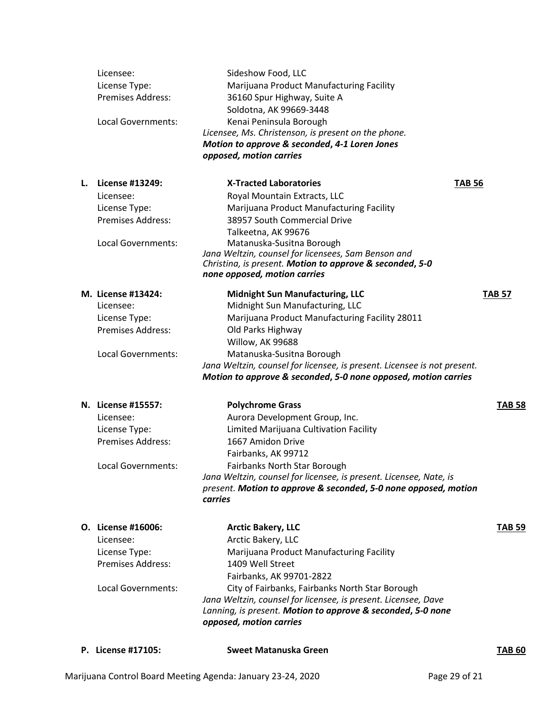|    | P. License #17105:        | Sweet Matanuska Green                                                                                                                                    | <b>TAB 60</b> |
|----|---------------------------|----------------------------------------------------------------------------------------------------------------------------------------------------------|---------------|
|    |                           | Jana Weltzin, counsel for licensee, is present. Licensee, Dave<br>Lanning, is present. Motion to approve & seconded, 5-0 none<br>opposed, motion carries |               |
|    | Local Governments:        | Fairbanks, AK 99701-2822<br>City of Fairbanks, Fairbanks North Star Borough                                                                              |               |
|    | Premises Address:         | 1409 Well Street                                                                                                                                         |               |
|    | License Type:             | Marijuana Product Manufacturing Facility                                                                                                                 |               |
|    | Licensee:                 | Arctic Bakery, LLC                                                                                                                                       |               |
|    | O. License #16006:        | <b>Arctic Bakery, LLC</b>                                                                                                                                | <b>TAB 59</b> |
|    |                           | carries                                                                                                                                                  |               |
|    |                           | Jana Weltzin, counsel for licensee, is present. Licensee, Nate, is<br>present. Motion to approve & seconded, 5-0 none opposed, motion                    |               |
|    | <b>Local Governments:</b> | <b>Fairbanks North Star Borough</b>                                                                                                                      |               |
|    |                           | Fairbanks, AK 99712                                                                                                                                      |               |
|    | <b>Premises Address:</b>  | 1667 Amidon Drive                                                                                                                                        |               |
|    | License Type:             | Limited Marijuana Cultivation Facility                                                                                                                   |               |
|    | Licensee:                 | Aurora Development Group, Inc.                                                                                                                           |               |
|    | N. License #15557:        | <b>Polychrome Grass</b>                                                                                                                                  | <b>TAB 58</b> |
|    |                           | Motion to approve & seconded, 5-0 none opposed, motion carries                                                                                           |               |
|    |                           | Jana Weltzin, counsel for licensee, is present. Licensee is not present.                                                                                 |               |
|    | Local Governments:        | Matanuska-Susitna Borough                                                                                                                                |               |
|    |                           | Willow, AK 99688                                                                                                                                         |               |
|    | <b>Premises Address:</b>  | Old Parks Highway                                                                                                                                        |               |
|    | License Type:             | Marijuana Product Manufacturing Facility 28011                                                                                                           |               |
|    | Licensee:                 | Midnight Sun Manufacturing, LLC                                                                                                                          |               |
|    | M. License #13424:        | <b>Midnight Sun Manufacturing, LLC</b>                                                                                                                   | <b>TAB 57</b> |
|    |                           | none opposed, motion carries                                                                                                                             |               |
|    |                           | Jana Weltzin, counsel for licensees, Sam Benson and<br>Christina, is present. Motion to approve & seconded, 5-0                                          |               |
|    | Local Governments:        | Matanuska-Susitna Borough                                                                                                                                |               |
|    |                           | Talkeetna, AK 99676                                                                                                                                      |               |
|    | <b>Premises Address:</b>  | 38957 South Commercial Drive                                                                                                                             |               |
|    | License Type:             | Marijuana Product Manufacturing Facility                                                                                                                 |               |
|    | Licensee:                 | Royal Mountain Extracts, LLC                                                                                                                             |               |
| L. | License #13249:           | <b>X-Tracted Laboratories</b><br><b>TAB 56</b>                                                                                                           |               |
|    |                           | opposed, motion carries                                                                                                                                  |               |
|    |                           | Motion to approve & seconded, 4-1 Loren Jones                                                                                                            |               |
|    |                           | Licensee, Ms. Christenson, is present on the phone.                                                                                                      |               |
|    | <b>Local Governments:</b> | Soldotna, AK 99669-3448<br>Kenai Peninsula Borough                                                                                                       |               |
|    | <b>Premises Address:</b>  | 36160 Spur Highway, Suite A                                                                                                                              |               |
|    | License Type:             | Marijuana Product Manufacturing Facility                                                                                                                 |               |
|    | Licensee:                 | Sideshow Food, LLC                                                                                                                                       |               |
|    |                           |                                                                                                                                                          |               |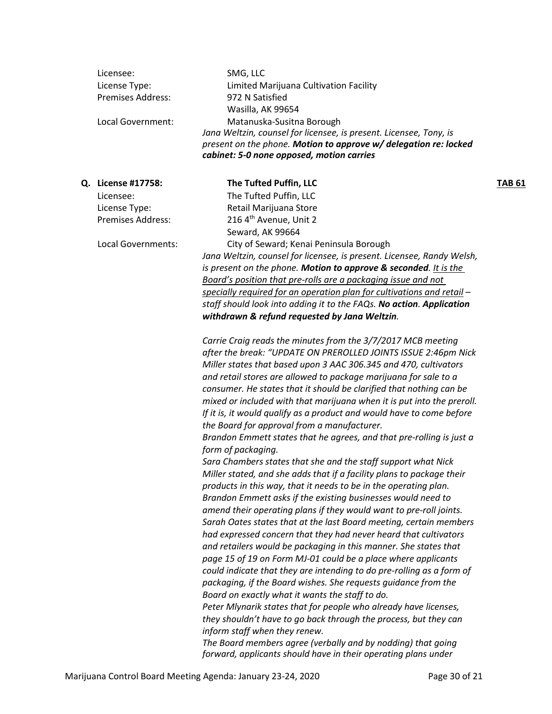| Licensee:<br>License Type:<br><b>Premises Address:</b><br>Local Government:                               | SMG, LLC<br>Limited Marijuana Cultivation Facility<br>972 N Satisfied<br>Wasilla, AK 99654<br>Matanuska-Susitna Borough<br>Jana Weltzin, counsel for licensee, is present. Licensee, Tony, is<br>present on the phone. Motion to approve w/ delegation re: locked<br>cabinet: 5-0 none opposed, motion carries                                                                                                                                                                                                                                                                                                                                                                                                                                                                                                                                                                                                                                                                                                                                                                                                                                                                                                                                                                                                                                                                                                                                                                                                                                                                                                                                                                                                                                                                            |               |
|-----------------------------------------------------------------------------------------------------------|-------------------------------------------------------------------------------------------------------------------------------------------------------------------------------------------------------------------------------------------------------------------------------------------------------------------------------------------------------------------------------------------------------------------------------------------------------------------------------------------------------------------------------------------------------------------------------------------------------------------------------------------------------------------------------------------------------------------------------------------------------------------------------------------------------------------------------------------------------------------------------------------------------------------------------------------------------------------------------------------------------------------------------------------------------------------------------------------------------------------------------------------------------------------------------------------------------------------------------------------------------------------------------------------------------------------------------------------------------------------------------------------------------------------------------------------------------------------------------------------------------------------------------------------------------------------------------------------------------------------------------------------------------------------------------------------------------------------------------------------------------------------------------------------|---------------|
| Q. License #17758:<br>Licensee:<br>License Type:<br><b>Premises Address:</b><br><b>Local Governments:</b> | The Tufted Puffin, LLC<br>The Tufted Puffin, LLC<br>Retail Marijuana Store<br>216 4 <sup>th</sup> Avenue, Unit 2<br>Seward, AK 99664<br>City of Seward; Kenai Peninsula Borough<br>Jana Weltzin, counsel for licensee, is present. Licensee, Randy Welsh,<br>is present on the phone. Motion to approve & seconded. It is the<br>Board's position that pre-rolls are a packaging issue and not<br>specially required for an operation plan for cultivations and retail -<br>staff should look into adding it to the FAQs. No action. Application<br>withdrawn & refund requested by Jana Weltzin.                                                                                                                                                                                                                                                                                                                                                                                                                                                                                                                                                                                                                                                                                                                                                                                                                                                                                                                                                                                                                                                                                                                                                                                         | <b>TAB 61</b> |
|                                                                                                           | Carrie Craig reads the minutes from the 3/7/2017 MCB meeting<br>after the break: "UPDATE ON PREROLLED JOINTS ISSUE 2:46pm Nick<br>Miller states that based upon 3 AAC 306.345 and 470, cultivators<br>and retail stores are allowed to package marijuana for sale to a<br>consumer. He states that it should be clarified that nothing can be<br>mixed or included with that marijuana when it is put into the preroll.<br>If it is, it would qualify as a product and would have to come before<br>the Board for approval from a manufacturer.<br>Brandon Emmett states that he agrees, and that pre-rolling is just a<br>form of packaging.<br>Sara Chambers states that she and the staff support what Nick<br>Miller stated, and she adds that if a facility plans to package their<br>products in this way, that it needs to be in the operating plan.<br>Brandon Emmett asks if the existing businesses would need to<br>amend their operating plans if they would want to pre-roll joints.<br>Sarah Oates states that at the last Board meeting, certain members<br>had expressed concern that they had never heard that cultivators<br>and retailers would be packaging in this manner. She states that<br>page 15 of 19 on Form MJ-01 could be a place where applicants<br>could indicate that they are intending to do pre-rolling as a form of<br>packaging, if the Board wishes. She requests guidance from the<br>Board on exactly what it wants the staff to do.<br>Peter Mlynarik states that for people who already have licenses,<br>they shouldn't have to go back through the process, but they can<br>inform staff when they renew.<br>The Board members agree (verbally and by nodding) that going<br>forward, applicants should have in their operating plans under |               |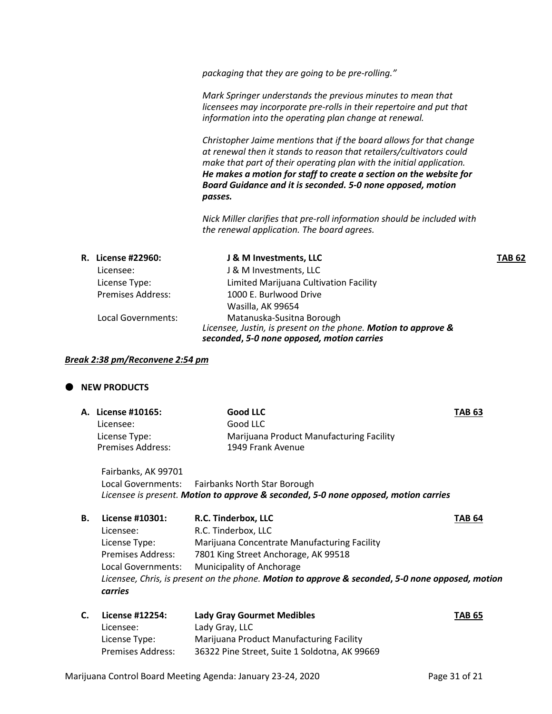*packaging that they are going to be pre-rolling."*

*Mark Springer understands the previous minutes to mean that licensees may incorporate pre-rolls in their repertoire and put that information into the operating plan change at renewal.*

*Christopher Jaime mentions that if the board allows for that change at renewal then it stands to reason that retailers/cultivators could make that part of their operating plan with the initial application. He makes a motion for staff to create a section on the website for Board Guidance and it is seconded. 5-0 none opposed, motion passes.*

*Nick Miller clarifies that pre-roll information should be included with the renewal application. The board agrees.*

|                          | J & M Investments, LLC                                                                                                                    | <b>TAB 62</b> |
|--------------------------|-------------------------------------------------------------------------------------------------------------------------------------------|---------------|
| Licensee:                | J & M Investments, LLC                                                                                                                    |               |
| License Type:            | Limited Marijuana Cultivation Facility                                                                                                    |               |
| <b>Premises Address:</b> | 1000 E. Burlwood Drive                                                                                                                    |               |
|                          | Wasilla, AK 99654                                                                                                                         |               |
| Local Governments:       | Matanuska-Susitna Borough<br>Licensee, Justin, is present on the phone. Motion to approve &<br>seconded, 5-0 none opposed, motion carries |               |
|                          | <b>R.</b> License #22960:                                                                                                                 |               |

#### *Break 2:38 pm/Reconvene 2:54 pm*

## **NEW PRODUCTS**

|    | A. License #10165:<br>Licensee:<br>License Type:<br>Premises Address: | <b>Good LLC</b><br>Good LLC<br>Marijuana Product Manufacturing Facility<br>1949 Frank Avenue     | TAB 63         |
|----|-----------------------------------------------------------------------|--------------------------------------------------------------------------------------------------|----------------|
|    | Fairbanks, AK 99701                                                   |                                                                                                  |                |
|    |                                                                       | Local Governments: Fairbanks North Star Borough                                                  |                |
|    |                                                                       | Licensee is present. Motion to approve & seconded, 5-0 none opposed, motion carries              |                |
| В. | License #10301:                                                       | R.C. Tinderbox, LLC                                                                              | TAB 64         |
|    | Licensee:                                                             | R.C. Tinderbox, LLC                                                                              |                |
|    | License Type:                                                         | Marijuana Concentrate Manufacturing Facility                                                     |                |
|    | Premises Address:                                                     | 7801 King Street Anchorage, AK 99518                                                             |                |
|    | Local Governments:                                                    | Municipality of Anchorage                                                                        |                |
|    | carries                                                               | Licensee, Chris, is present on the phone. Motion to approve & seconded, 5-0 none opposed, motion |                |
|    |                                                                       | <b>Leak: Cuse: Corrupo of Modibles</b>                                                           | 786 <i>r</i> r |

| С. | License #12254:          | <b>Lady Gray Gourmet Medibles</b>             | <b>TAB 65</b> |
|----|--------------------------|-----------------------------------------------|---------------|
|    | Licensee:                | Lady Gray, LLC                                |               |
|    | License Type:            | Marijuana Product Manufacturing Facility      |               |
|    | <b>Premises Address:</b> | 36322 Pine Street. Suite 1 Soldotna. AK 99669 |               |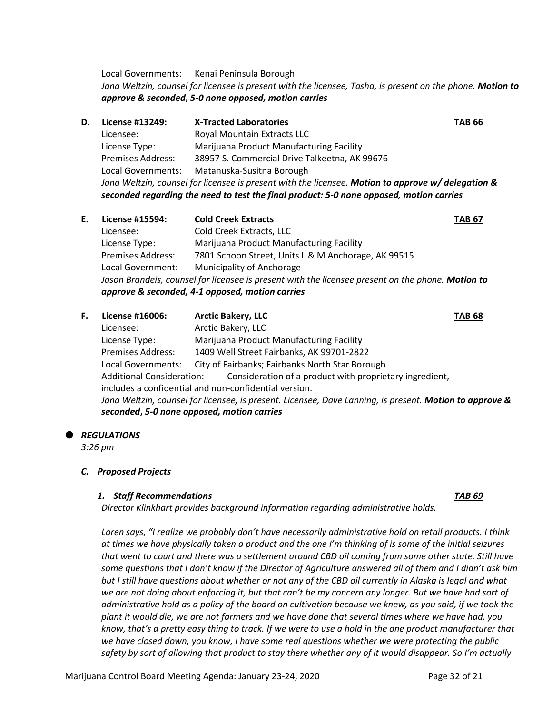Local Governments: Kenai Peninsula Borough *Jana Weltzin, counsel for licensee is present with the licensee, Tasha, is present on the phone. Motion to approve & seconded***,** *5-0 none opposed, motion carries*

- **D. License #13249: X-Tracted Laboratories TAB 66** Licensee: Royal Mountain Extracts LLC License Type: Marijuana Product Manufacturing Facility Premises Address: 38957 S. Commercial Drive Talkeetna, AK 99676 Local Governments: Matanuska-Susitna Borough *Jana Weltzin, counsel for licensee is present with the licensee. Motion to approve w/ delegation & seconded regarding the need to test the final product: 5-0 none opposed, motion carries*
- **E. License #15594: Cold Creek Extracts TAB 67** Licensee: Cold Creek Extracts, LLC License Type: Marijuana Product Manufacturing Facility Premises Address: 7801 Schoon Street, Units L & M Anchorage, AK 99515 Local Government: Municipality of Anchorage *Jason Brandeis, counsel for licensee is present with the licensee present on the phone. Motion to approve & seconded, 4-1 opposed, motion carries*
- **F. License #16006: Arctic Bakery, LLC TAB 68** Licensee: Arctic Bakery, LLC License Type: Marijuana Product Manufacturing Facility Premises Address: 1409 Well Street Fairbanks, AK 99701-2822 Local Governments: City of Fairbanks; Fairbanks North Star Borough Additional Consideration: Consideration of a product with proprietary ingredient, includes a confidential and non-confidential version. *Jana Weltzin, counsel for licensee, is present. Licensee, Dave Lanning, is present. Motion to approve & seconded***,** *5-0 none opposed, motion carries*
- *REGULATIONS*

*3:26 pm*

#### *C. Proposed Projects*

#### *1. Staff Recommendations TAB 69*

*Director Klinkhart provides background information regarding administrative holds.*

*Loren says, "I realize we probably don't have necessarily administrative hold on retail products. I think at times we have physically taken a product and the one I'm thinking of is some of the initial seizures that went to court and there was a settlement around CBD oil coming from some other state. Still have some questions that I don't know if the Director of Agriculture answered all of them and I didn't ask him but I still have questions about whether or not any of the CBD oil currently in Alaska is legal and what we are not doing about enforcing it, but that can't be my concern any longer. But we have had sort of administrative hold as a policy of the board on cultivation because we knew, as you said, if we took the plant it would die, we are not farmers and we have done that several times where we have had, you know, that's a pretty easy thing to track. If we were to use a hold in the one product manufacturer that we have closed down, you know, I have some real questions whether we were protecting the public safety by sort of allowing that product to stay there whether any of it would disappear. So I'm actually*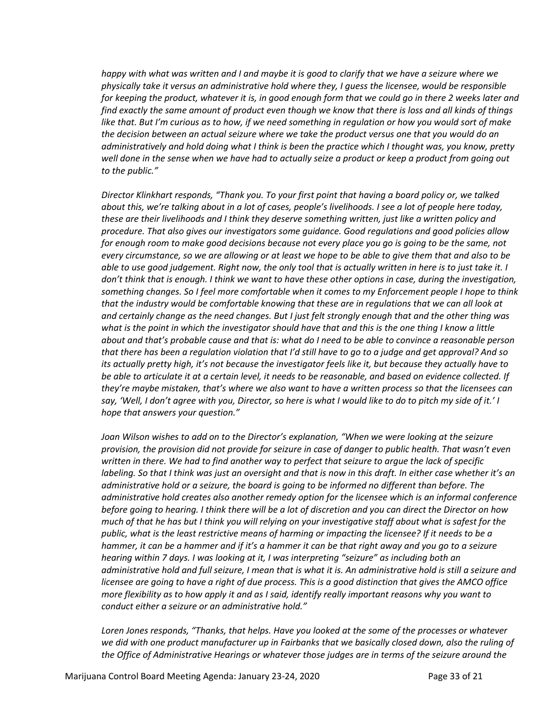*happy with what was written and I and maybe it is good to clarify that we have a seizure where we physically take it versus an administrative hold where they, I guess the licensee, would be responsible for keeping the product, whatever it is, in good enough form that we could go in there 2 weeks later and find exactly the same amount of product even though we know that there is loss and all kinds of things like that. But I'm curious as to how, if we need something in regulation or how you would sort of make the decision between an actual seizure where we take the product versus one that you would do an administratively and hold doing what I think is been the practice which I thought was, you know, pretty well done in the sense when we have had to actually seize a product or keep a product from going out to the public."*

*Director Klinkhart responds, "Thank you. To your first point that having a board policy or, we talked about this, we're talking about in a lot of cases, people's livelihoods. I see a lot of people here today, these are their livelihoods and I think they deserve something written, just like a written policy and procedure. That also gives our investigators some guidance. Good regulations and good policies allow for enough room to make good decisions because not every place you go is going to be the same, not every circumstance, so we are allowing or at least we hope to be able to give them that and also to be able to use good judgement. Right now, the only tool that is actually written in here is to just take it. I don't think that is enough. I think we want to have these other options in case, during the investigation, something changes. So I feel more comfortable when it comes to my Enforcement people I hope to think that the industry would be comfortable knowing that these are in regulations that we can all look at and certainly change as the need changes. But I just felt strongly enough that and the other thing was what is the point in which the investigator should have that and this is the one thing I know a little about and that's probable cause and that is: what do I need to be able to convince a reasonable person that there has been a regulation violation that I'd still have to go to a judge and get approval? And so its actually pretty high, it's not because the investigator feels like it, but because they actually have to be able to articulate it at a certain level, it needs to be reasonable, and based on evidence collected. If they're maybe mistaken, that's where we also want to have a written process so that the licensees can say, 'Well, I don't agree with you, Director, so here is what I would like to do to pitch my side of it.' I hope that answers your question."*

*Joan Wilson wishes to add on to the Director's explanation, "When we were looking at the seizure provision, the provision did not provide for seizure in case of danger to public health. That wasn't even written in there. We had to find another way to perfect that seizure to argue the lack of specific labeling. So that I think was just an oversight and that is now in this draft. In either case whether it's an administrative hold or a seizure, the board is going to be informed no different than before. The administrative hold creates also another remedy option for the licensee which is an informal conference before going to hearing. I think there will be a lot of discretion and you can direct the Director on how much of that he has but I think you will relying on your investigative staff about what is safest for the public, what is the least restrictive means of harming or impacting the licensee? If it needs to be a hammer, it can be a hammer and if it's a hammer it can be that right away and you go to a seizure hearing within 7 days. I was looking at it, I was interpreting "seizure" as including both an administrative hold and full seizure, I mean that is what it is. An administrative hold is still a seizure and licensee are going to have a right of due process. This is a good distinction that gives the AMCO office more flexibility as to how apply it and as I said, identify really important reasons why you want to conduct either a seizure or an administrative hold."*

*Loren Jones responds, "Thanks, that helps. Have you looked at the some of the processes or whatever we did with one product manufacturer up in Fairbanks that we basically closed down, also the ruling of the Office of Administrative Hearings or whatever those judges are in terms of the seizure around the*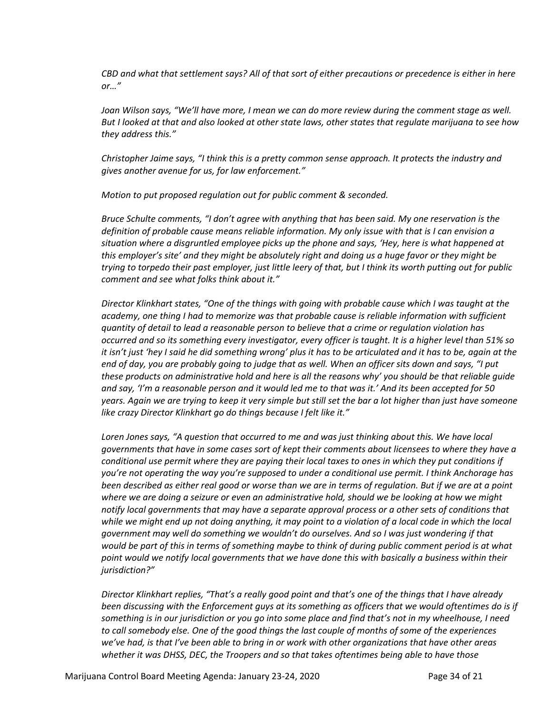*CBD and what that settlement says? All of that sort of either precautions or precedence is either in here or…"*

*Joan Wilson says, "We'll have more, I mean we can do more review during the comment stage as well. But I looked at that and also looked at other state laws, other states that regulate marijuana to see how they address this."*

*Christopher Jaime says, "I think this is a pretty common sense approach. It protects the industry and gives another avenue for us, for law enforcement."*

*Motion to put proposed regulation out for public comment & seconded.*

*Bruce Schulte comments, "I don't agree with anything that has been said. My one reservation is the definition of probable cause means reliable information. My only issue with that is I can envision a situation where a disgruntled employee picks up the phone and says, 'Hey, here is what happened at this employer's site' and they might be absolutely right and doing us a huge favor or they might be trying to torpedo their past employer, just little leery of that, but I think its worth putting out for public comment and see what folks think about it."*

*Director Klinkhart states, "One of the things with going with probable cause which I was taught at the academy, one thing I had to memorize was that probable cause is reliable information with sufficient quantity of detail to lead a reasonable person to believe that a crime or regulation violation has occurred and so its something every investigator, every officer is taught. It is a higher level than 51% so it isn't just 'hey I said he did something wrong' plus it has to be articulated and it has to be, again at the end of day, you are probably going to judge that as well. When an officer sits down and says, "I put these products on administrative hold and here is all the reasons why' you should be that reliable guide and say, 'I'm a reasonable person and it would led me to that was it.' And its been accepted for 50 years. Again we are trying to keep it very simple but still set the bar a lot higher than just have someone like crazy Director Klinkhart go do things because I felt like it."*

*Loren Jones says, "A question that occurred to me and was just thinking about this. We have local governments that have in some cases sort of kept their comments about licensees to where they have a conditional use permit where they are paying their local taxes to ones in which they put conditions if you're not operating the way you're supposed to under a conditional use permit. I think Anchorage has been described as either real good or worse than we are in terms of regulation. But if we are at a point where we are doing a seizure or even an administrative hold, should we be looking at how we might notify local governments that may have a separate approval process or a other sets of conditions that while we might end up not doing anything, it may point to a violation of a local code in which the local government may well do something we wouldn't do ourselves. And so I was just wondering if that would be part of this in terms of something maybe to think of during public comment period is at what point would we notify local governments that we have done this with basically a business within their jurisdiction?"*

*Director Klinkhart replies, "That's a really good point and that's one of the things that I have already been discussing with the Enforcement guys at its something as officers that we would oftentimes do is if something is in our jurisdiction or you go into some place and find that's not in my wheelhouse, I need to call somebody else. One of the good things the last couple of months of some of the experiences we've had, is that I've been able to bring in or work with other organizations that have other areas whether it was DHSS, DEC, the Troopers and so that takes oftentimes being able to have those*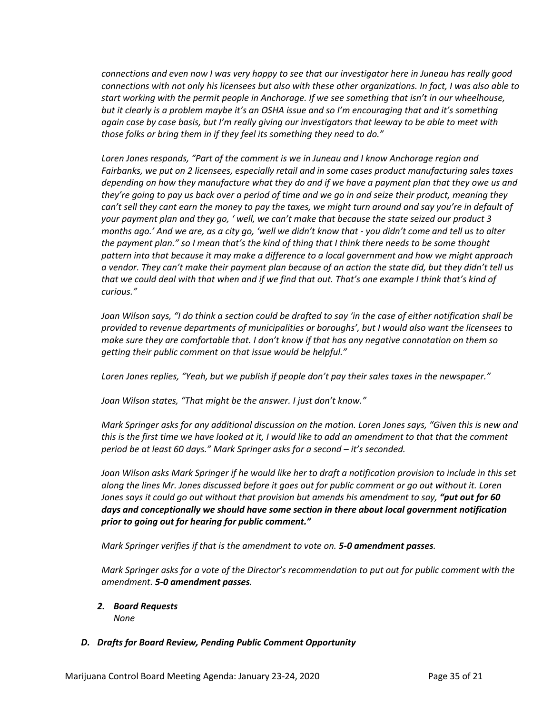*connections and even now I was very happy to see that our investigator here in Juneau has really good connections with not only his licensees but also with these other organizations. In fact, I was also able to start working with the permit people in Anchorage. If we see something that isn't in our wheelhouse, but it clearly is a problem maybe it's an OSHA issue and so I'm encouraging that and it's something again case by case basis, but I'm really giving our investigators that leeway to be able to meet with those folks or bring them in if they feel its something they need to do."*

*Loren Jones responds, "Part of the comment is we in Juneau and I know Anchorage region and Fairbanks, we put on 2 licensees, especially retail and in some cases product manufacturing sales taxes depending on how they manufacture what they do and if we have a payment plan that they owe us and they're going to pay us back over a period of time and we go in and seize their product, meaning they can't sell they cant earn the money to pay the taxes, we might turn around and say you're in default of your payment plan and they go, ' well, we can't make that because the state seized our product 3 months ago.' And we are, as a city go, 'well we didn't know that - you didn't come and tell us to alter the payment plan." so I mean that's the kind of thing that I think there needs to be some thought pattern into that because it may make a difference to a local government and how we might approach a vendor. They can't make their payment plan because of an action the state did, but they didn't tell us that we could deal with that when and if we find that out. That's one example I think that's kind of curious."*

*Joan Wilson says, "I do think a section could be drafted to say 'in the case of either notification shall be provided to revenue departments of municipalities or boroughs', but I would also want the licensees to make sure they are comfortable that. I don't know if that has any negative connotation on them so getting their public comment on that issue would be helpful."* 

*Loren Jones replies, "Yeah, but we publish if people don't pay their sales taxes in the newspaper."*

*Joan Wilson states, "That might be the answer. I just don't know."*

*Mark Springer asks for any additional discussion on the motion. Loren Jones says, "Given this is new and this is the first time we have looked at it, I would like to add an amendment to that that the comment period be at least 60 days." Mark Springer asks for a second – it's seconded.* 

*Joan Wilson asks Mark Springer if he would like her to draft a notification provision to include in this set along the lines Mr. Jones discussed before it goes out for public comment or go out without it. Loren Jones says it could go out without that provision but amends his amendment to say, "put out for 60 days and conceptionally we should have some section in there about local government notification prior to going out for hearing for public comment."*

*Mark Springer verifies if that is the amendment to vote on. 5-0 amendment passes.* 

*Mark Springer asks for a vote of the Director's recommendation to put out for public comment with the amendment. 5-0 amendment passes.*

*2. Board Requests None*

## *D. Drafts for Board Review, Pending Public Comment Opportunity*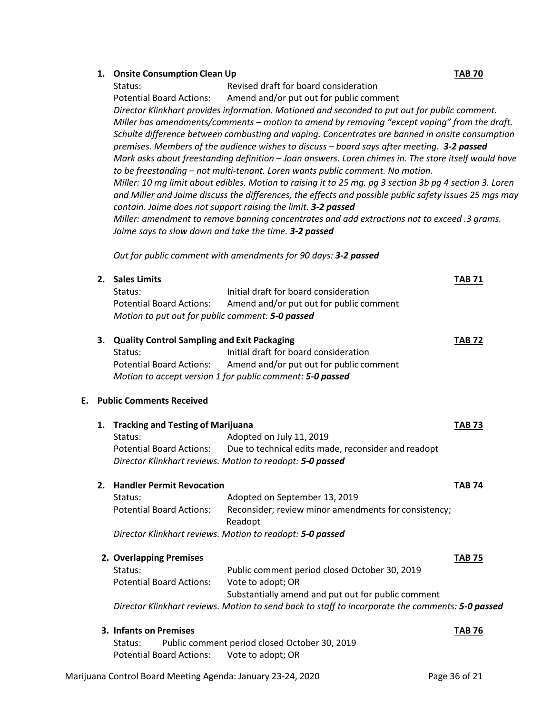### **1. Onsite Consumption Clean Up TAB 70**

Status: Revised draft for board consideration Potential Board Actions: Amend and/or put out for public comment *Director Klinkhart provides information. Motioned and seconded to put out for public comment. Miller has amendments/comments – motion to amend by removing "except vaping" from the draft. Schulte difference between combusting and vaping. Concentrates are banned in onsite consumption premises. Members of the audience wishes to discuss – board says after meeting. 3-2 passed Mark asks about freestanding definition – Joan answers. Loren chimes in. The store itself would have to be freestanding – not multi-tenant. Loren wants public comment. No motion. Miller: 10 mg limit about edibles. Motion to raising it to 25 mg. pg 3 section 3b pg 4 section 3. Loren and Miller and Jaime discuss the differences, the effects and possible public safety issues 25 mgs may contain. Jaime does not support raising the limit. 3-2 passed Miller: amendment to remove banning concentrates and add extractions not to exceed .3 grams. Jaime says to slow down and take the time. 3-2 passed*

*Out for public comment with amendments for 90 days: 3-2 passed*

|    | 2. | <b>Sales Limits</b>                                                                              |                                                                 | <b>TAB 71</b> |  |
|----|----|--------------------------------------------------------------------------------------------------|-----------------------------------------------------------------|---------------|--|
|    |    | Status:                                                                                          | Initial draft for board consideration                           |               |  |
|    |    | <b>Potential Board Actions:</b>                                                                  | Amend and/or put out for public comment                         |               |  |
|    |    | Motion to put out for public comment: 5-0 passed                                                 |                                                                 |               |  |
|    |    | 3. Quality Control Sampling and Exit Packaging                                                   |                                                                 | <b>TAB 72</b> |  |
|    |    | Status:                                                                                          | Initial draft for board consideration                           |               |  |
|    |    | <b>Potential Board Actions:</b>                                                                  | Amend and/or put out for public comment                         |               |  |
|    |    |                                                                                                  | Motion to accept version 1 for public comment: 5-0 passed       |               |  |
| E. |    | <b>Public Comments Received</b>                                                                  |                                                                 |               |  |
|    | 1. | <b>Tracking and Testing of Marijuana</b>                                                         |                                                                 | <b>TAB 73</b> |  |
|    |    | Status:                                                                                          | Adopted on July 11, 2019                                        |               |  |
|    |    | <b>Potential Board Actions:</b>                                                                  | Due to technical edits made, reconsider and readopt             |               |  |
|    |    |                                                                                                  | Director Klinkhart reviews. Motion to readopt: 5-0 passed       |               |  |
|    |    | 2. Handler Permit Revocation                                                                     |                                                                 | <b>TAB 74</b> |  |
|    |    | Status:                                                                                          | Adopted on September 13, 2019                                   |               |  |
|    |    | <b>Potential Board Actions:</b>                                                                  | Reconsider; review minor amendments for consistency;<br>Readopt |               |  |
|    |    | Director Klinkhart reviews. Motion to readopt: 5-0 passed                                        |                                                                 |               |  |
|    |    | 2. Overlapping Premises                                                                          |                                                                 | <b>TAB 75</b> |  |
|    |    | Status:                                                                                          | Public comment period closed October 30, 2019                   |               |  |
|    |    | <b>Potential Board Actions:</b>                                                                  | Vote to adopt; OR                                               |               |  |
|    |    |                                                                                                  | Substantially amend and put out for public comment              |               |  |
|    |    | Director Klinkhart reviews. Motion to send back to staff to incorporate the comments: 5-0 passed |                                                                 |               |  |
|    |    | 3. Infants on Premises                                                                           |                                                                 | <b>TAB 76</b> |  |
|    |    | Status:                                                                                          | Public comment period closed October 30, 2019                   |               |  |
|    |    | <b>Potential Board Actions:</b>                                                                  | Vote to adopt; OR                                               |               |  |
|    |    |                                                                                                  |                                                                 |               |  |